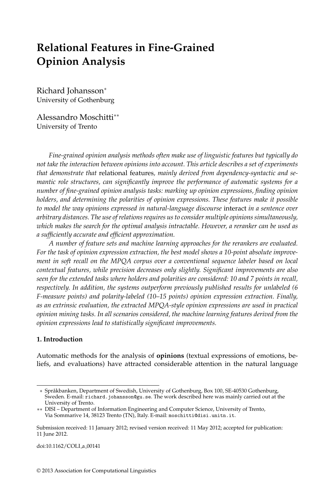# **Relational Features in Fine-Grained Opinion Analysis**

Richard Johansson<sup>∗</sup> University of Gothenburg

Alessandro Moschitti∗∗ University of Trento

*Fine-grained opinion analysis methods often make use of linguistic features but typically do not take the interaction between opinions into account. This article describes a set of experiments that demonstrate that* relational features*, mainly derived from dependency-syntactic and semantic role structures, can significantly improve the performance of automatic systems for a number of fine-grained opinion analysis tasks: marking up opinion expressions, finding opinion holders, and determining the polarities of opinion expressions. These features make it possible to model the way opinions expressed in natural-language discourse* interact *in a sentence over arbitrary distances. The use of relations requires us to consider multiple opinions simultaneously, which makes the search for the optimal analysis intractable. However, a reranker can be used as a sufficiently accurate and efficient approximation.*

*A number of feature sets and machine learning approaches for the rerankers are evaluated. For the task of opinion expression extraction, the best model shows a 10-point absolute improvement in soft recall on the MPQA corpus over a conventional sequence labeler based on local contextual features, while precision decreases only slightly. Significant improvements are also seen for the extended tasks where holders and polarities are considered: 10 and 7 points in recall, respectively. In addition, the systems outperform previously published results for unlabeled (6 F-measure points) and polarity-labeled (10–15 points) opinion expression extraction. Finally, as an extrinsic evaluation, the extracted MPQA-style opinion expressions are used in practical opinion mining tasks. In all scenarios considered, the machine learning features derived from the opinion expressions lead to statistically significant improvements.*

#### **1. Introduction**

Automatic methods for the analysis of **opinions** (textual expressions of emotions, beliefs, and evaluations) have attracted considerable attention in the natural language

doi:10.1162/COLI a 00141

<sup>∗</sup> Sprakbanken, Department of Swedish, University of Gothenburg, Bo ˚ x 100, SE-40530 Gothenburg, Sweden. E-mail: richard.johansson@gu.se. The work described here was mainly carried out at the University of Trento.

<sup>∗∗</sup> DISI – Department of Information Engineering and Computer Science, University of Trento, Via Sommarive 14, 38123 Trento (TN), Italy. E-mail: moschitti@disi.unitn.it.

Submission received: 11 January 2012; revised version received: 11 May 2012; accepted for publication: 11 June 2012.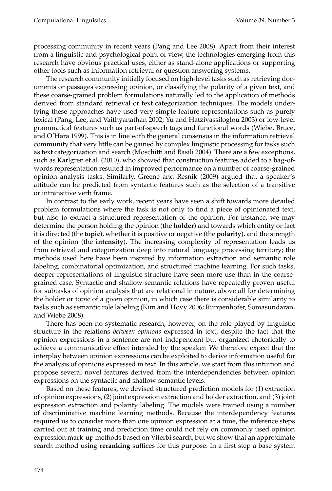processing community in recent years (Pang and Lee 2008). Apart from their interest from a linguistic and psychological point of view, the technologies emerging from this research have obvious practical uses, either as stand-alone applications or supporting other tools such as information retrieval or question answering systems.

The research community initially focused on high-level tasks such as retrieving documents or passages expressing opinion, or classifying the polarity of a given text, and these coarse-grained problem formulations naturally led to the application of methods derived from standard retrieval or text categorization techniques. The models underlying these approaches have used very simple feature representations such as purely lexical (Pang, Lee, and Vaithyanathan 2002; Yu and Hatzivassiloglou 2003) or low-level grammatical features such as part-of-speech tags and functional words (Wiebe, Bruce, and O'Hara 1999). This is in line with the general consensus in the information retrieval community that very little can be gained by complex linguistic processing for tasks such as text categorization and search (Moschitti and Basili 2004). There are a few exceptions, such as Karlgren et al. (2010), who showed that construction features added to a bag-ofwords representation resulted in improved performance on a number of coarse-grained opinion analysis tasks. Similarly, Greene and Resnik (2009) argued that a speaker's attitude can be predicted from syntactic features such as the selection of a transitive or intransitive verb frame.

In contrast to the early work, recent years have seen a shift towards more detailed problem formulations where the task is not only to find a piece of opinionated text, but also to extract a structured representation of the opinion. For instance, we may determine the person holding the opinion (the **holder**) and towards which entity or fact it is directed (the **topic**), whether it is positive or negative (the **polarity**), and the strength of the opinion (the **intensity**). The increasing complexity of representation leads us from retrieval and categorization deep into natural language processing territory; the methods used here have been inspired by information extraction and semantic role labeling, combinatorial optimization, and structured machine learning. For such tasks, deeper representations of linguistic structure have seen more use than in the coarsegrained case. Syntactic and shallow-semantic relations have repeatedly proven useful for subtasks of opinion analysis that are relational in nature, above all for determining the holder or topic of a given opinion, in which case there is considerable similarity to tasks such as semantic role labeling (Kim and Hovy 2006; Ruppenhofer, Somasundaran, and Wiebe 2008).

There has been no systematic research, however, on the role played by linguistic structure in the relations *between opinions* expressed in text, despite the fact that the opinion expressions in a sentence are not independent but organized rhetorically to achieve a communicative effect intended by the speaker. We therefore expect that the interplay between opinion expressions can be exploited to derive information useful for the analysis of opinions expressed in text. In this article, we start from this intuition and propose several novel features derived from the interdependencies between opinion expressions on the syntactic and shallow-semantic levels.

Based on these features, we devised structured prediction models for (1) extraction of opinion expressions, (2) joint expression extraction and holder extraction, and (3) joint expression extraction and polarity labeling. The models were trained using a number of discriminative machine learning methods. Because the interdependency features required us to consider more than one opinion expression at a time, the inference steps carried out at training and prediction time could not rely on commonly used opinion expression mark-up methods based on Viterbi search, but we show that an approximate search method using **reranking** suffices for this purpose: In a first step a base system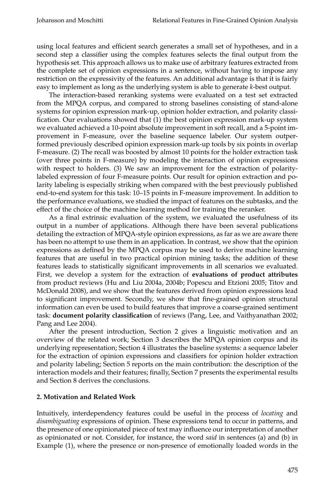using local features and efficient search generates a small set of hypotheses, and in a second step a classifier using the complex features selects the final output from the hypothesis set. This approach allows us to make use of arbitrary features extracted from the complete set of opinion expressions in a sentence, without having to impose any restriction on the expressivity of the features. An additional advantage is that it is fairly easy to implement as long as the underlying system is able to generate *k*-best output.

The interaction-based reranking systems were evaluated on a test set extracted from the MPQA corpus, and compared to strong baselines consisting of stand-alone systems for opinion expression mark-up, opinion holder extraction, and polarity classification. Our evaluations showed that (1) the best opinion expression mark-up system we evaluated achieved a 10-point absolute improvement in soft recall, and a 5-point improvement in F-measure, over the baseline sequence labeler. Our system outperformed previously described opinion expression mark-up tools by six points in overlap F-measure. (2) The recall was boosted by almost 10 points for the holder extraction task (over three points in F-measure) by modeling the interaction of opinion expressions with respect to holders. (3) We saw an improvement for the extraction of polaritylabeled expression of four F-measure points. Our result for opinion extraction and polarity labeling is especially striking when compared with the best previously published end-to-end system for this task: 10–15 points in F-measure improvement. In addition to the performance evaluations, we studied the impact of features on the subtasks, and the effect of the choice of the machine learning method for training the reranker.

As a final extrinsic evaluation of the system, we evaluated the usefulness of its output in a number of applications. Although there have been several publications detailing the extraction of MPQA-style opinion expressions, as far as we are aware there has been no attempt to use them in an application. In contrast, we show that the opinion expressions as defined by the MPQA corpus may be used to derive machine learning features that are useful in two practical opinion mining tasks; the addition of these features leads to statistically significant improvements in all scenarios we evaluated. First, we develop a system for the extraction of **evaluations of product attributes** from product reviews (Hu and Liu 2004a, 2004b; Popescu and Etzioni 2005; Titov and McDonald 2008), and we show that the features derived from opinion expressions lead to significant improvement. Secondly, we show that fine-grained opinion structural information can even be used to build features that improve a coarse-grained sentiment task: **document polarity classification** of reviews (Pang, Lee, and Vaithyanathan 2002; Pang and Lee 2004).

After the present introduction, Section 2 gives a linguistic motivation and an overview of the related work; Section 3 describes the MPQA opinion corpus and its underlying representation; Section 4 illustrates the baseline systems: a sequence labeler for the extraction of opinion expressions and classifiers for opinion holder extraction and polarity labeling; Section 5 reports on the main contribution: the description of the interaction models and their features; finally, Section 7 presents the experimental results and Section 8 derives the conclusions.

# **2. Motivation and Related Work**

Intuitively, interdependency features could be useful in the process of *locating* and *disambiguating* expressions of opinion. These expressions tend to occur in patterns, and the presence of one opinionated piece of text may influence ourinterpretation of another as opinionated or not. Consider, for instance, the word *said* in sentences (a) and (b) in Example (1), where the presence or non-presence of emotionally loaded words in the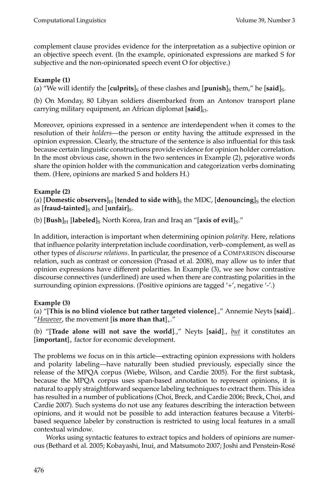complement clause provides evidence for the interpretation as a subjective opinion or an objective speech event. (In the example, opinionated expressions are marked S for subjective and the non-opinionated speech event O for objective.)

# **Example (1)**

(a) "We will identify the [**culprits**]<sub>S</sub> of these clashes and [**punish**]<sub>S</sub> them," he [**said**]<sub>S</sub>.

(b) On Monday, 80 Libyan soldiers disembarked from an Antonov transport plane carrying military equipment, an African diplomat [said]<sub>O</sub>.

Moreover, opinions expressed in a sentence are interdependent when it comes to the resolution of their *holders*—the person or entity having the attitude expressed in the opinion expression. Clearly, the structure of the sentence is also influential for this task because certain linguistic constructions provide evidence for opinion holder correlation. In the most obvious case, shown in the two sentences in Example (2), pejorative words share the opinion holder with the communication and categorization verbs dominating them. (Here, opinions are marked S and holders H.)

# **Example (2)**

(a)  $\textbf{[Domestic observers]}_{\text{H}}$   $\textbf{[tended to side with]}_{\text{S}}$  the MDC,  $\textbf{[denouncing]}_{\text{S}}$  the election as [**fraud-tainted**]<sub>S</sub> and [**unfair**]<sub>S</sub>.

(b) [**Bush**]<sub>H</sub> [**labeled**]<sub>S</sub> North Korea, Iran and Iraq an "[**axis of evil**]<sub>S</sub>."

In addition, interaction is important when determining opinion *polarity*. Here, relations that influence polarity interpretation include coordination, verb–complement, as well as other types of *discourse relations*. In particular, the presence of a COMPARISON discourse relation, such as contrast or concession (Prasad et al. 2008), may allow us to infer that opinion expressions have different polarities. In Example (3), we see how contrastive discourse connectives (underlined) are used when there are contrasting polarities in the surrounding opinion expressions. (Positive opinions are tagged '+', negative '-'.)

# **Example (3)**

(a) "[**This is no blind violence but rather targeted violence**]- ," Annemie Neyts [**said**]- . "*However*, the movement [**is more than that**]+."

(b) "[**Trade alone will not save the world**]- ," Neyts [**said**]- , *but* it constitutes an [**important**]<sup>+</sup> factor for economic development.

The problems we focus on in this article—extracting opinion expressions with holders and polarity labeling—have naturally been studied previously, especially since the release of the MPQA corpus (Wiebe, Wilson, and Cardie 2005). For the first subtask, because the MPQA corpus uses span-based annotation to represent opinions, it is natural to apply straightforward sequence labeling techniques to extract them. This idea has resulted in a number of publications (Choi, Breck, and Cardie 2006; Breck, Choi, and Cardie 2007). Such systems do not use any features describing the interaction between opinions, and it would not be possible to add interaction features because a Viterbibased sequence labeler by construction is restricted to using local features in a small contextual window.

Works using syntactic features to extract topics and holders of opinions are numerous (Bethard et al. 2005; Kobayashi, Inui, and Matsumoto 2007; Joshi and Penstein-Rose´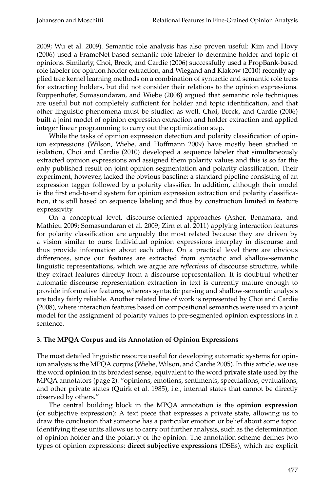2009; Wu et al. 2009). Semantic role analysis has also proven useful: Kim and Hovy (2006) used a FrameNet-based semantic role labeler to determine holder and topic of opinions. Similarly, Choi, Breck, and Cardie (2006) successfully used a PropBank-based role labeler for opinion holder extraction, and Wiegand and Klakow (2010) recently applied tree kernel learning methods on a combination of syntactic and semantic role trees for extracting holders, but did not consider their relations to the opinion expressions. Ruppenhofer, Somasundaran, and Wiebe (2008) argued that semantic role techniques are useful but not completely sufficient for holder and topic identification, and that other linguistic phenomena must be studied as well. Choi, Breck, and Cardie (2006) built a joint model of opinion expression extraction and holder extraction and applied integer linear programming to carry out the optimization step.

While the tasks of opinion expression detection and polarity classification of opinion expressions (Wilson, Wiebe, and Hoffmann 2009) have mostly been studied in isolation, Choi and Cardie (2010) developed a sequence labeler that simultaneously extracted opinion expressions and assigned them polarity values and this is so far the only published result on joint opinion segmentation and polarity classification. Their experiment, however, lacked the obvious baseline: a standard pipeline consisting of an expression tagger followed by a polarity classifier. In addition, although their model is the first end-to-end system for opinion expression extraction and polarity classification, it is still based on sequence labeling and thus by construction limited in feature expressivity.

On a conceptual level, discourse-oriented approaches (Asher, Benamara, and Mathieu 2009; Somasundaran et al. 2009; Zirn et al. 2011) applying interaction features for polarity classification are arguably the most related because they are driven by a vision similar to ours: Individual opinion expressions interplay in discourse and thus provide information about each other. On a practical level there are obvious differences, since our features are extracted from syntactic and shallow-semantic linguistic representations, which we argue are *reflections* of discourse structure, while they extract features directly from a discourse representation. It is doubtful whether automatic discourse representation extraction in text is currently mature enough to provide informative features, whereas syntactic parsing and shallow-semantic analysis are today fairly reliable. Another related line of work is represented by Choi and Cardie (2008), where interaction features based on compositional semantics were used in a joint model for the assignment of polarity values to pre-segmented opinion expressions in a sentence.

# **3. The MPQA Corpus and its Annotation of Opinion Expressions**

The most detailed linguistic resource useful for developing automatic systems for opinion analysis is the MPQA corpus (Wiebe, Wilson, and Cardie 2005). In this article, we use the word **opinion** in its broadest sense, equivalent to the word **private state** used by the MPQA annotators (page 2): "opinions, emotions, sentiments, speculations, evaluations, and other private states (Quirk et al. 1985), i.e., internal states that cannot be directly observed by others."

The central building block in the MPQA annotation is the **opinion expression** (or subjective expression): A text piece that expresses a private state, allowing us to draw the conclusion that someone has a particular emotion or belief about some topic. Identifying these units allows us to carry out further analysis, such as the determination of opinion holder and the polarity of the opinion. The annotation scheme defines two types of opinion expressions: **direct subjective expressions** (DSEs), which are explicit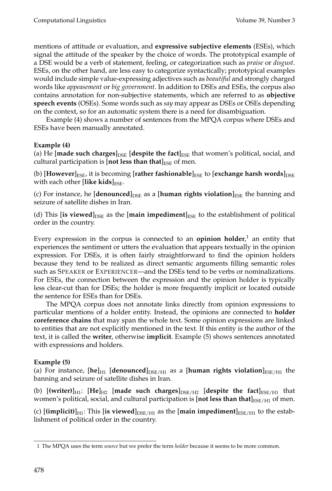mentions of attitude or evaluation, and **expressive subjective elements** (ESEs), which signal the attitude of the speaker by the choice of words. The prototypical example of a DSE would be a verb of statement, feeling, or categorization such as *praise* or *disgust*. ESEs, on the other hand, are less easy to categorize syntactically; prototypical examples would include simple value-expressing adjectives such as *beautiful* and strongly charged words like *appeasement* or *big government*. In addition to DSEs and ESEs, the corpus also contains annotation for non-subjective statements, which are referred to as **objective speech events** (OSEs). Some words such as *say* may appear as DSEs or OSEs depending on the context, so for an automatic system there is a need for disambiguation.

Example (4) shows a number of sentences from the MPQA corpus where DSEs and ESEs have been manually annotated.

# **Example (4)**

(a) He [made such charges]<sub>DSE</sub> [despite the fact]<sub>ESE</sub> that women's political, social, and cultural participation is [**not less than that**] $_{\text{ESE}}$  of men.

(b) [However]<sub>ESE</sub>, it is becoming [rather fashionable]<sub>ESE</sub> to [exchange harsh words]<sub>DSE</sub> with each other [like kids]<sub>ESE</sub>.

(c) For instance, he [denounced]<sub>DSE</sub> as a [human rights violation]<sub>ESE</sub> the banning and seizure of satellite dishes in Iran.

(d) This [**is viewed**] $_{\text{DSE}}$  as the [**main impediment**] $_{\text{ESE}}$  to the establishment of political order in the country.

Every expression in the corpus is connected to an **opinion holder**, 1 an entity that experiences the sentiment or utters the evaluation that appears textually in the opinion expression. For DSEs, it is often fairly straightforward to find the opinion holders because they tend to be realized as direct semantic arguments filling semantic roles such as SPEAKER or EXPERIENCER—and the DSEs tend to be verbs or nominalizations. For ESEs, the connection between the expression and the opinion holder is typically less clear-cut than for DSEs; the holder is more frequently implicit or located outside the sentence for ESEs than for DSEs.

The MPQA corpus does not annotate links directly from opinion expressions to particular mentions of a holder entity. Instead, the opinions are connected to **holder coreference chains** that may span the whole text. Some opinion expressions are linked to entities that are not explicitly mentioned in the text. If this entity is the author of the text, it is called the **writer**, otherwise **implicit**. Example (5) shows sentences annotated with expressions and holders.

# **Example (5)**

(a) For instance,  $[\text{he}]_{H1}$  [denounced]<sub>DSE/H1</sub> as a [human rights violation]<sub>ESE/H1</sub> the banning and seizure of satellite dishes in Iran.

(b)  $[$ **(writer)** $]_{H1}$ :  $[He]_{H2}$  [made such charges] $]_{\text{DSE/H2}}$  [despite the fact] $_{\text{ESE/H1}}$  that women's political, social, and cultural participation is [**not less than that**] $_{\text{ESE/H1}}$  of men.

(c)  $[\text{(implicit)}]_{\text{H1}}$ : This  $[\text{is viewed}]_{\text{DSE/H1}}$  as the  $[\text{main impediment}]_{\text{ESE/H1}}$  to the establishment of political order in the country.

<sup>1</sup> The MPQA uses the term *source* but we prefer the term *holder* because it seems to be more common.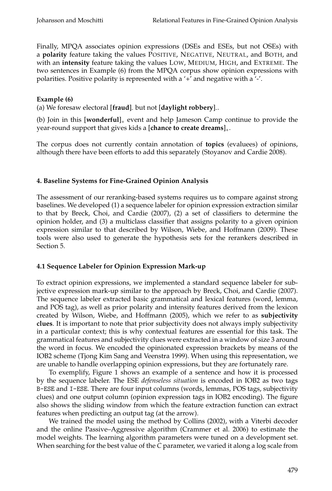Finally, MPQA associates opinion expressions (DSEs and ESEs, but not OSEs) with a **polarity** feature taking the values POSITIVE, NEGATIVE, NEUTRAL, and BOTH, and with an **intensity** feature taking the values LOW, MEDIUM, HIGH, and EXTREME. The two sentences in Example (6) from the MPQA corpus show opinion expressions with polarities. Positive polarity is represented with a '+' and negative with a '-'.

### **Example (6)**

(a) We foresaw electoral [**fraud**]- but not [**daylight robbery**]- .

(b) Join in this [**wonderful**]<sup>+</sup> event and help Jameson Camp continue to provide the year-round support that gives kids a [**chance to create dreams**]+.

The corpus does not currently contain annotation of **topics** (evaluees) of opinions, although there have been efforts to add this separately (Stoyanov and Cardie 2008).

#### **4. Baseline Systems for Fine-Grained Opinion Analysis**

The assessment of our reranking-based systems requires us to compare against strong baselines. We developed (1) a sequence labeler for opinion expression extraction similar to that by Breck, Choi, and Cardie (2007), (2) a set of classifiers to determine the opinion holder, and (3) a multiclass classifier that assigns polarity to a given opinion expression similar to that described by Wilson, Wiebe, and Hoffmann (2009). These tools were also used to generate the hypothesis sets for the rerankers described in Section 5.

#### **4.1 Sequence Labeler for Opinion Expression Mark-up**

To extract opinion expressions, we implemented a standard sequence labeler for subjective expression mark-up similar to the approach by Breck, Choi, and Cardie (2007). The sequence labeler extracted basic grammatical and lexical features (word, lemma, and POS tag), as well as prior polarity and intensity features derived from the lexicon created by Wilson, Wiebe, and Hoffmann (2005), which we refer to as **subjectivity clues**. It is important to note that prior subjectivity does not always imply subjectivity in a particular context; this is why contextual features are essential for this task. The grammatical features and subjectivity clues were extracted in a window of size 3 around the word in focus. We encoded the opinionated expression brackets by means of the IOB2 scheme (Tjong Kim Sang and Veenstra 1999). When using this representation, we are unable to handle overlapping opinion expressions, but they are fortunately rare.

To exemplify, Figure 1 shows an example of a sentence and how it is processed by the sequence labeler. The ESE *defenseless situation* is encoded in IOB2 as two tags B-ESE and I-ESE. There are four input columns (words, lemmas, POS tags, subjectivity clues) and one output column (opinion expression tags in IOB2 encoding). The figure also shows the sliding window from which the feature extraction function can extract features when predicting an output tag (at the arrow).

We trained the model using the method by Collins (2002), with a Viterbi decoder and the online Passive–Aggressive algorithm (Crammer et al. 2006) to estimate the model weights. The learning algorithm parameters were tuned on a development set. When searching for the best value of the *C* parameter, we varied it along a log scale from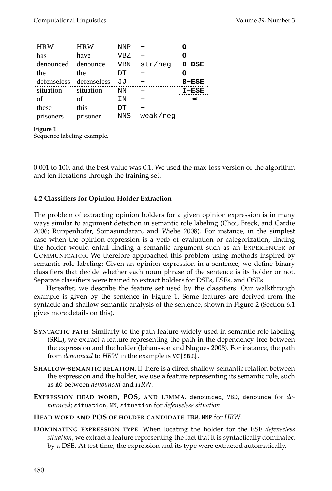| <b>HRW</b>  | <b>HRW</b>  | NNP        |          |              |
|-------------|-------------|------------|----------|--------------|
| has         | have        | <b>VBZ</b> |          | O            |
| denounced   | denounce    | <b>VBN</b> | str/neg  | <b>B-DSE</b> |
| the         | the         | DΤ         |          |              |
| defenseless | defenseless | JJ         |          | <b>B-ESE</b> |
| situation   | situation   | NN         |          | $I-ESE$      |
| ⊹of         | οf          | IN         |          |              |
| these       | this        | DΤ         |          |              |
| prisoners   | prisoner    | <b>NNS</b> | weak/neg |              |

#### **Figure 1**

Sequence labeling example.

0.001 to 100, and the best value was 0.1. We used the max-loss version of the algorithm and ten iterations through the training set.

# **4.2 Classifiers for Opinion Holder Extraction**

The problem of extracting opinion holders for a given opinion expression is in many ways similar to argument detection in semantic role labeling (Choi, Breck, and Cardie 2006; Ruppenhofer, Somasundaran, and Wiebe 2008). For instance, in the simplest case when the opinion expression is a verb of evaluation or categorization, finding the holder would entail finding a semantic argument such as an EXPERIENCER or COMMUNICATOR. We therefore approached this problem using methods inspired by semantic role labeling: Given an opinion expression in a sentence, we define binary classifiers that decide whether each noun phrase of the sentence is its holder or not. Separate classifiers were trained to extract holders for DSEs, ESEs, and OSEs.

Hereafter, we describe the feature set used by the classifiers. Our walkthrough example is given by the sentence in Figure 1. Some features are derived from the syntactic and shallow semantic analysis of the sentence, shown in Figure 2 (Section 6.1 gives more details on this).

- **SYNTACTIC PATH**. Similarly to the path feature widely used in semantic role labeling (SRL), we extract a feature representing the path in the dependency tree between the expression and the holder (Johansson and Nugues 2008). For instance, the path from *denounced* to *HRW* in the example is VC↑SBJ↓.
- **SHALLOW-SEMANTIC RELATION**. If there is a direct shallow-semantic relation between the expression and the holder, we use a feature representing its semantic role, such as A0 between *denounced* and *HRW*.
- **EXPRESSION HEAD WORD, POS, AND LEMMA**. denounced, VBD, denounce for *denounced*; situation, NN, situation for *defenseless situation*.
- **HEAD WORD AND POS OF HOLDER CANDIDATE**. HRW, NNP for *HRW*.
- **DOMINATING EXPRESSION TYPE**. When locating the holder for the ESE *defenseless situation*, we extract a feature representing the fact that it is syntactically dominated by a DSE. At test time, the expression and its type were extracted automatically.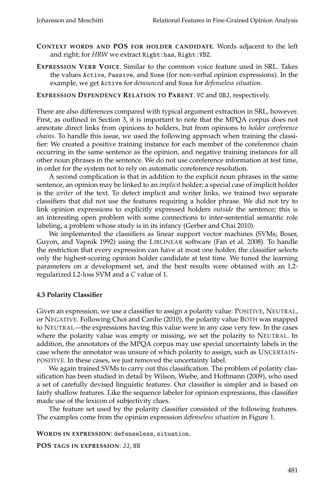- **CONTEXT WORDS AND POS FOR HOLDER CANDIDATE**. Words adjacent to the left and right; for *HRW* we extract Right:has, Right:VBZ.
- **EXPRESSION VERB VOICE**. Similar to the common voice feature used in SRL. Takes the values Active, Passive, and None (for non-verbal opinion expressions). In the example, we get Active for *denounced* and None for *defenseless situation*.

#### **EXPRESSION DEPENDENCY RELATION TO PARENT**. VC and OBJ, respectively.

There are also differences compared with typical argument extraction in SRL, however. First, as outlined in Section 3, it is important to note that the MPQA corpus does not annotate direct links from opinions to holders, but from opinions to *holder coreference chains*. To handle this issue, we used the following approach when training the classifier: We created a positive training instance for each member of the coreference chain occurring in the same sentence as the opinion, and negative training instances for all other noun phrases in the sentence. We do not use coreference information at test time, in order for the system not to rely on automatic coreference resolution.

A second complication is that in addition to the explicit noun phrases in the same sentence, an opinion may be linked to an *implicit* holder; a special case of implicit holder is the *writer* of the text. To detect implicit and writer links, we trained two separate classifiers that did not use the features requiring a holder phrase. We did not try to link opinion expressions to explicitly expressed holders *outside* the sentence; this is an interesting open problem with some connections to inter-sentential semantic role labeling, a problem whose study is in its infancy (Gerber and Chai 2010).

We implemented the classifiers as linear support vector machines (SVMs; Boser, Guyon, and Vapnik 1992) using the LIBLINEAR software (Fan et al. 2008). To handle the restriction that every expression can have at most one holder, the classifier selects only the highest-scoring opinion holder candidate at test time. We tuned the learning parameters on a development set, and the best results were obtained with an L2 regularized L2-loss SVM and a *C* value of 1.

# **4.3 Polarity Classifier**

Given an expression, we use a classifier to assign a polarity value: POSITIVE, NEUTRAL, or NEGATIVE. Following Choi and Cardie (2010), the polarity value BOTH was mapped to NEUTRAL—the expressions having this value were in any case very few. In the cases where the polarity value was empty or missing, we set the polarity to NEUTRAL. In addition, the annotators of the MPQA corpus may use special uncertainty labels in the case where the annotator was unsure of which polarity to assign, such as UNCERTAIN-POSITIVE. In these cases, we just removed the uncertainty label.

We again trained SVMs to carry out this classification. The problem of polarity classification has been studied in detail by Wilson, Wiebe, and Hoffmann (2009), who used a set of carefully devised linguistic features. Our classifier is simpler and is based on fairly shallow features. Like the sequence labeler for opinion expressions, this classifier made use of the lexicon of subjectivity clues.

The feature set used by the polarity classifier consisted of the following features. The examples come from the opinion expression *defenseless situation* in Figure 1.

**WORDS IN EXPRESSION**: defenseless, situation.

**POS TAGS IN EXPRESSION**: JJ, NN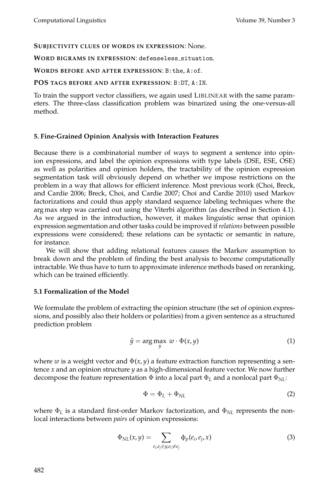#### **SUBJECTIVITY CLUES OF WORDS IN EXPRESSION**: None.

#### WORD BIGRAMS IN EXPRESSION: defenseless\_situation.

#### **WORDS BEFORE AND AFTER EXPRESSION**: B:the, A:of.

#### **POS TAGS BEFORE AND AFTER EXPRESSION**: B:DT, A:IN.

To train the support vector classifiers, we again used LIBLINEAR with the same parameters. The three-class classification problem was binarized using the one-versus-all method.

#### **5. Fine-Grained Opinion Analysis with Interaction Features**

Because there is a combinatorial number of ways to segment a sentence into opinion expressions, and label the opinion expressions with type labels (DSE, ESE, OSE) as well as polarities and opinion holders, the tractability of the opinion expression segmentation task will obviously depend on whether we impose restrictions on the problem in a way that allows for efficient inference. Most previous work (Choi, Breck, and Cardie 2006; Breck, Choi, and Cardie 2007; Choi and Cardie 2010) used Markov factorizations and could thus apply standard sequence labeling techniques where the arg max step was carried out using the Viterbi algorithm (as described in Section 4.1). As we argued in the introduction, however, it makes linguistic sense that opinion expression segmentation and other tasks could be improved if*relations* between possible expressions were considered; these relations can be syntactic or semantic in nature, for instance.

We will show that adding relational features causes the Markov assumption to break down and the problem of finding the best analysis to become computationally intractable. We thus have to turn to approximate inference methods based on reranking, which can be trained efficiently.

#### **5.1 Formalization of the Model**

We formulate the problem of extracting the opinion structure (the set of opinion expressions, and possibly also their holders or polarities) from a given sentence as a structured prediction problem

$$
\hat{y} = \underset{y}{\arg \max} \ w \cdot \Phi(x, y) \tag{1}
$$

where *w* is a weight vector and  $\Phi(x, y)$  a feature extraction function representing a sentence *x* and an opinion structure *y* as a high-dimensional feature vector. We now further decompose the feature representation  $\Phi$  into a local part  $\Phi_L$  and a nonlocal part  $\Phi_{NL}$ :

$$
\Phi = \Phi_L + \Phi_{NL} \tag{2}
$$

where Φ*<sup>L</sup>* is a standard first-order Markov factorization, and Φ*NL* represents the nonlocal interactions between *pairs* of opinion expressions:

$$
\Phi_{NL}(x,y) = \sum_{e_i,e_j \in y, e_i \neq e_j} \Phi_p(e_i,e_j,x) \tag{3}
$$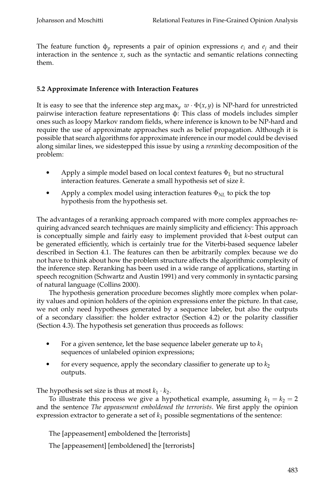The feature function  $\phi_p$  represents a pair of opinion expressions  $e_i$  and  $e_j$  and their interaction in the sentence  $x$ , such as the syntactic and semantic relations connecting them.

# **5.2 Approximate Inference with Interaction Features**

It is easy to see that the inference step arg max<sub>*y*</sub>  $w \cdot \Phi(x, y)$  is NP-hard for unrestricted pairwise interaction feature representations φ: This class of models includes simpler ones such as loopy Markov random fields, where inference is known to be NP-hard and require the use of approximate approaches such as belief propagation. Although it is possible that search algorithms for approximate inference in our model could be devised along similar lines, we sidestepped this issue by using a *reranking* decomposition of the problem:

- r Apply a simple model based on local context features Φ*<sup>L</sup>* but no structural interaction features. Generate a small hypothesis set of size *k*.
- r Apply a complex model using interaction features Φ*NL* to pick the top hypothesis from the hypothesis set.

The advantages of a reranking approach compared with more complex approaches requiring advanced search techniques are mainly simplicity and efficiency: This approach is conceptually simple and fairly easy to implement provided that *k*-best output can be generated efficiently, which is certainly true for the Viterbi-based sequence labeler described in Section 4.1. The features can then be arbitrarily complex because we do not have to think about how the problem structure affects the algorithmic complexity of the inference step. Reranking has been used in a wide range of applications, starting in speech recognition (Schwartz and Austin 1991) and very commonly in syntactic parsing of natural language (Collins 2000).

The hypothesis generation procedure becomes slightly more complex when polarity values and opinion holders of the opinion expressions enter the picture. In that case, we not only need hypotheses generated by a sequence labeler, but also the outputs of a secondary classifier: the holder extractor (Section 4.2) or the polarity classifier (Section 4.3). The hypothesis set generation thus proceeds as follows:

- For a given sentence, let the base sequence labeler generate up to  $k_1$ sequences of unlabeled opinion expressions;
- r for every sequence, apply the secondary classifier to generate up to  $k_2$ outputs.

The hypothesis set size is thus at most  $k_1 \cdot k_2$ .

To illustrate this process we give a hypothetical example, assuming  $k_1 = k_2 = 2$ and the sentence *The appeasement emboldened the terrorists*. We first apply the opinion expression extractor to generate a set of  $k_1$  possible segmentations of the sentence:

The [appeasement] emboldened the [terrorists]

The [appeasement] [emboldened] the [terrorists]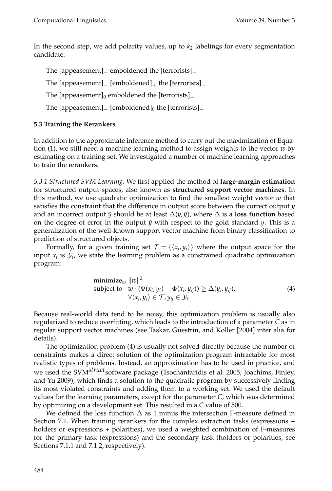In the second step, we add polarity values, up to  $k_2$  labelings for every segmentation candidate:

The [appeasement]<sub>−</sub> emboldened the [terrorists]<sub>−</sub>

The [appeasement] $=$  [emboldened] $+$  the [terrorists] $=$ 

The [appeasement] $_0$  emboldened the [terrorists] $_$ 

The [appeasement] $_$  [emboldened] $_0$  the [terrorists] $_$ 

# **5.3 Training the Rerankers**

In addition to the approximate inference method to carry out the maximization of Equation (1), we still need a machine learning method to assign weights to the vector *w* by estimating on a training set. We investigated a number of machine learning approaches to train the rerankers.

*5.3.1 Structured SVM Learning.* We first applied the method of **large-margin estimation** for structured output spaces, also known as **structured support vector machines**. In this method, we use quadratic optimization to find the smallest weight vector *w* that satisfies the constraint that the difference in output score between the correct output *y* and an incorrect output  $\hat{y}$  should be at least  $\Delta(y, \hat{y})$ , where  $\Delta$  is a **loss function** based on the degree of error in the output  $\hat{y}$  with respect to the gold standard *y*. This is a generalization of the well-known support vector machine from binary classification to prediction of structured objects.

Formally, for a given training set  $\mathcal{T} = \{ \langle x_i, y_i \rangle \}$  where the output space for the input  $x_i$  is  $\mathcal{Y}_i$ , we state the learning problem as a constrained quadratic optimization program:

$$
\begin{array}{ll}\n\text{minimize}_{w} \ \|w\|^2\\ \n\text{subject to} & w \cdot (\Phi(x_i, y_i) - \Phi(x_i, y_{ij})) \ge \Delta(y_i, y_{ij}),\\ \forall \langle x_i, y_i \rangle \in \mathcal{T}, y_{ij} \in \mathcal{Y}_i\n\end{array} \tag{4}
$$

Because real-world data tend to be noisy, this optimization problem is usually also regularized to reduce overfitting, which leads to the introduction of a parameter *C* as in regular support vector machines (see Taskar, Guestrin, and Koller [2004] inter alia for details).

The optimization problem (4) is usually not solved directly because the number of constraints makes a direct solution of the optimization program intractable for most realistic types of problems. Instead, an approximation has to be used in practice, and we used the SVM<sup>struct</sup>software package (Tsochantaridis et al. 2005; Joachims, Finley, and Yu 2009), which finds a solution to the quadratic program by successively finding its most violated constraints and adding them to a working set. We used the default values for the learning parameters, except for the parameter *C*, which was determined by optimizing on a development set. This resulted in a *C* value of 500.

We defined the loss function  $\Delta$  as 1 minus the intersection F-measure defined in Section 7.1. When training rerankers for the complex extraction tasks (expressions + holders or expressions + polarities), we used a weighted combination of F-measures for the primary task (expressions) and the secondary task (holders or polarities, see Sections 7.1.1 and 7.1.2, respectively).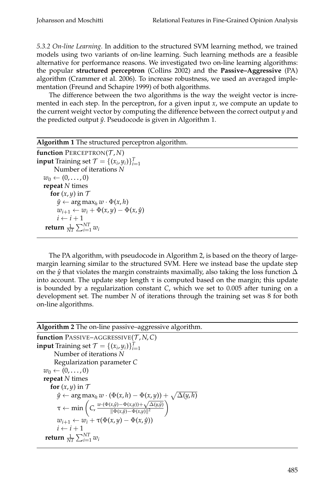*5.3.2 On-line Learning.* In addition to the structured SVM learning method, we trained models using two variants of on-line learning. Such learning methods are a feasible alternative for performance reasons. We investigated two on-line learning algorithms: the popular **structured perceptron** (Collins 2002) and the **Passive–Aggressive** (PA) algorithm (Crammer et al. 2006). To increase robustness, we used an averaged implementation (Freund and Schapire 1999) of both algorithms.

The difference between the two algorithms is the way the weight vector is incremented in each step. In the perceptron, for a given input *x*, we compute an update to the current weight vector by computing the difference between the correct output *y* and the predicted output  $\hat{y}$ . Pseudocode is given in Algorithm 1.

The PA algorithm, with pseudocode in Algorithm 2, is based on the theory of largemargin learning similar to the structured SVM. Here we instead base the update step on the  $\hat{y}$  that violates the margin constraints maximally, also taking the loss function  $\Delta$ into account. The update step length  $\tau$  is computed based on the margin; this update is bounded by a regularization constant *C*, which we set to 0.005 after tuning on a development set. The number *N* of iterations through the training set was 8 for both on-line algorithms.

**Algorithm 2** The on-line passive–aggressive algorithm.

```
function PASSIVE–AGGRESSIVE(\mathcal{T}, N, C)
input Training set \mathcal{T} = \{ (x_i, y_i) \}_{i=1}^TNumber of iterations N
           Regularization parameter C
    w_0 \leftarrow (0, \ldots, 0)repeat N times
        for (x, y) in T\hat{y} \leftarrow \arg \max_{h} w \cdot (\Phi(x, h) - \Phi(x, y)) + \sqrt{\Delta(y, h)}\tau \leftarrow \min\left( C, \frac{w \cdot (\Phi(x, \hat{y}) - \Phi(x, y)) + \sqrt{\Delta(y, \hat{y})}}{\|\Phi(x, \hat{y}) - \Phi(x, y)\|^2} \right)\frac{(x, \hat{y}) - \Phi(x,y) + \sqrt{\Delta(y, \hat{y})}}{\|\Phi(x, \hat{y}) - \Phi(x,y)\|^2}w_{i+1} \leftarrow w_i + \tau(\Phi(x,y) - \Phi(x,\hat{y}))i \leftarrow i + 1\mathbf{return} \frac{1}{NT}\sum_{i=1}^{NT}w_i
```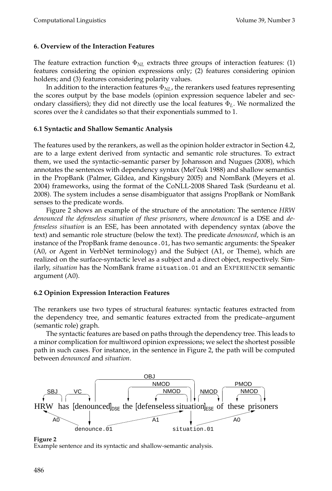#### **6. Overview of the Interaction Features**

The feature extraction function  $\Phi_{NL}$  extracts three groups of interaction features: (1) features considering the opinion expressions only; (2) features considering opinion holders; and (3) features considering polarity values.

In addition to the interaction features Φ*NL*, the rerankers used features representing the scores output by the base models (opinion expression sequence labeler and secondary classifiers); they did not directly use the local features Φ*L*. We normalized the scores over the *k* candidates so that their exponentials summed to 1.

# **6.1 Syntactic and Shallow Semantic Analysis**

The features used by the rerankers, as well as the opinion holder extractor in Section 4.2, are to a large extent derived from syntactic and semantic role structures. To extract them, we used the syntactic–semantic parser by Johansson and Nugues (2008), which annotates the sentences with dependency syntax (Mel'čuk 1988) and shallow semantics in the PropBank (Palmer, Gildea, and Kingsbury 2005) and NomBank (Meyers et al. 2004) frameworks, using the format of the CoNLL-2008 Shared Task (Surdeanu et al. 2008). The system includes a sense disambiguator that assigns PropBank or NomBank senses to the predicate words.

Figure 2 shows an example of the structure of the annotation: The sentence *HRW denounced the defenseless situation of these prisoners*, where *denounced* is a DSE and *defenseless situation* is an ESE, has been annotated with dependency syntax (above the text) and semantic role structure (below the text). The predicate *denounced*, which is an instance of the PropBank frame denounce.01, has two semantic arguments: the Speaker (A0, or Agent in VerbNet terminology) and the Subject (A1, or Theme), which are realized on the surface-syntactic level as a subject and a direct object, respectively. Similarly, *situation* has the NomBank frame situation.01 and an EXPERIENCER semantic argument (A0).

# **6.2 Opinion Expression Interaction Features**

The rerankers use two types of structural features: syntactic features extracted from the dependency tree, and semantic features extracted from the predicate–argument (semantic role) graph.

The syntactic features are based on paths through the dependency tree. This leads to a minor complication for multiword opinion expressions; we select the shortest possible path in such cases. For instance, in the sentence in Figure 2, the path will be computed between *denounced* and *situation*.



**Figure 2**

Example sentence and its syntactic and shallow-semantic analysis.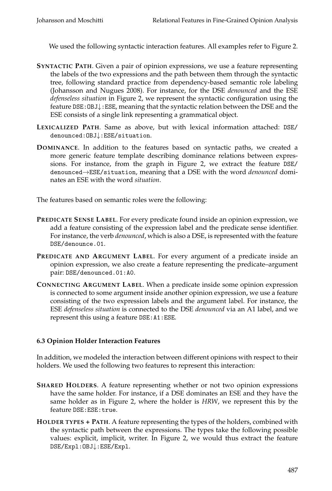We used the following syntactic interaction features. All examples refer to Figure 2.

- **SYNTACTIC PATH**. Given a pair of opinion expressions, we use a feature representing the labels of the two expressions and the path between them through the syntactic tree, following standard practice from dependency-based semantic role labeling (Johansson and Nugues 2008). For instance, for the DSE *denounced* and the ESE *defenseless situation* in Figure 2, we represent the syntactic configuration using the feature DSE:OBJ↓:ESE, meaning that the syntactic relation between the DSE and the ESE consists of a single link representing a grammatical object.
- **LEXICALIZED PATH**. Same as above, but with lexical information attached: DSE/ denounced:OBJ↓:ESE/situation.
- **DOMINANCE**. In addition to the features based on syntactic paths, we created a more generic feature template describing dominance relations between expressions. For instance, from the graph in Figure 2, we extract the feature DSE/ denounced→ESE/situation, meaning that a DSE with the word *denounced* dominates an ESE with the word *situation*.

The features based on semantic roles were the following:

- **PREDICATE SENSE LABEL**. For every predicate found inside an opinion expression, we add a feature consisting of the expression label and the predicate sense identifier. For instance, the verb *denounced*, which is also a DSE, is represented with the feature DSE/denounce.01.
- **PREDICATE AND ARGUMENT LABEL**. For every argument of a predicate inside an opinion expression, we also create a feature representing the predicate–argument pair: DSE/denounced.01:A0.
- **CONNECTING ARGUMENT LABEL**. When a predicate inside some opinion expression is connected to some argument inside another opinion expression, we use a feature consisting of the two expression labels and the argument label. For instance, the ESE *defenseless situation* is connected to the DSE *denounced* via an A1 label, and we represent this using a feature DSE:A1:ESE.

# **6.3 Opinion Holder Interaction Features**

In addition, we modeled the interaction between different opinions with respect to their holders. We used the following two features to represent this interaction:

- **SHARED HOLDERS**. A feature representing whether or not two opinion expressions have the same holder. For instance, if a DSE dominates an ESE and they have the same holder as in Figure 2, where the holder is *HRW*, we represent this by the feature DSE:ESE:true.
- **HOLDER TYPES + PATH**. A feature representing the types of the holders, combined with the syntactic path between the expressions. The types take the following possible values: explicit, implicit, writer. In Figure 2, we would thus extract the feature DSE/Expl:OBJ↓:ESE/Expl.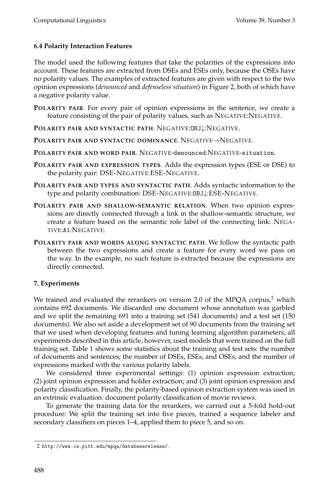# **6.4 Polarity Interaction Features**

The model used the following features that take the polarities of the expressions into account. These features are extracted from DSEs and ESEs only, because the OSEs have no polarity values. The examples of extracted features are given with respect to the two opinion expressions (*denounced* and *defenseless situation*) in Figure 2, both of which have a negative polarity value.

- **POLARITY PAIR**. For every pair of opinion expressions in the sentence, we create a feature consisting of the pair of polarity values, such as NEGATIVE:NEGATIVE.
- **POLARITY PAIR AND SYNTACTIC PATH**. NEGATIVE:OBJ↓:NEGATIVE.
- **POLARITY PAIR AND SYNTACTIC DOMINANCE**. NEGATIVE→NEGATIVE.
- **POLARITY PAIR AND WORD PAIR**. NEGATIVE-denounced:NEGATIVE-situation.
- **POLARITY PAIR AND EXPRESSION TYPES**. Adds the expression types (ESE or DSE) to the polarity pair: DSE-NEGATIVE:ESE-NEGATIVE.
- **POLARITY PAIR AND TYPES AND SYNTACTIC PATH**. Adds syntactic information to the type and polarity combination: DSE-NEGATIVE:OBJ↓:ESE-NEGATIVE.
- **POLARITY PAIR AND SHALLOW-SEMANTIC RELATION**. When two opinion expressions are directly connected through a link in the shallow-semantic structure, we create a feature based on the semantic role label of the connecting link: NEGA-TIVE:A1:NEGATIVE.
- **POLARITY PAIR AND WORDS ALONG SYNTACTIC PATH**. We follow the syntactic path between the two expressions and create a feature for every word we pass on the way. In the example, no such feature is extracted because the expressions are directly connected.

# **7. Experiments**

We trained and evaluated the rerankers on version 2.0 of the MPQA corpus, $^2$  which contains 692 documents. We discarded one document whose annotation was garbled and we split the remaining 691 into a training set (541 documents) and a test set (150 documents). We also set aside a development set of 90 documents from the training set that we used when developing features and tuning learning algorithm parameters; all experiments described in this article, however, used models that were trained on the full training set. Table 1 shows some statistics about the training and test sets: the number of documents and sentences; the number of DSEs, ESEs, and OSEs; and the number of expressions marked with the various polarity labels.

We considered three experimental settings: (1) opinion expression extraction; (2) joint opinion expression and holder extraction; and (3) joint opinion expression and polarity classification. Finally, the polarity-based opinion extraction system was used in an extrinsic evaluation: document polarity classification of movie reviews.

To generate the training data for the rerankers, we carried out a 5-fold hold-out procedure: We split the training set into five pieces, trained a sequence labeler and secondary classifiers on pieces 1–4, applied them to piece 5, and so on.

<sup>2</sup> http://www.cs.pitt.edu/mpqa/databaserelease/.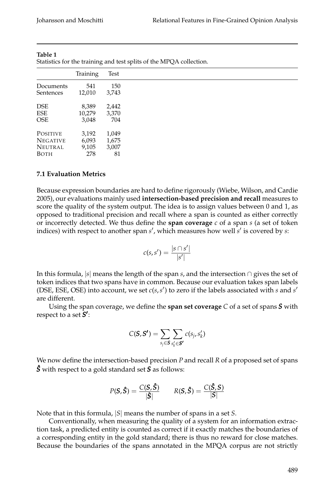|                 |          |       | Statistics for the training and test splits of the MPQA collection. |
|-----------------|----------|-------|---------------------------------------------------------------------|
|                 | Training | Test  |                                                                     |
| Documents       | 541      | 150   |                                                                     |
| Sentences       | 12,010   | 3,743 |                                                                     |
| <b>DSE</b>      | 8,389    | 2,442 |                                                                     |
| ESE             | 10,279   | 3,370 |                                                                     |
| <b>OSE</b>      | 3,048    | 704   |                                                                     |
| <b>POSITIVE</b> | 3,192    | 1,049 |                                                                     |
| <b>NEGATIVE</b> | 6,093    | 1,675 |                                                                     |
| <b>NEUTRAL</b>  | 9,105    | 3,007 |                                                                     |
| <b>BOTH</b>     | 278      | 81    |                                                                     |

| Table 1                                                        |  |  |  |
|----------------------------------------------------------------|--|--|--|
| Chatichies for the training and took onlite of the MDOA solled |  |  |  |

#### **7.1 Evaluation Metrics**

Because expression boundaries are hard to define rigorously (Wiebe, Wilson, and Cardie 2005), our evaluations mainly used **intersection-based precision and recall** measures to score the quality of the system output. The idea is to assign values between 0 and 1, as opposed to traditional precision and recall where a span is counted as either correctly or incorrectly detected. We thus define the **span coverage** *c* of a span *s* (a set of token indices) with respect to another span *s* ′ , which measures how well *s* ′ is covered by *s*:

$$
c(s,s') = \frac{|s \cap s'|}{|s'|}
$$

In this formula, |*s*| means the length of the span *s*, and the intersection ∩ gives the set of token indices that two spans have in common. Because our evaluation takes span labels (DSE, ESE, OSE) into account, we set *c*(*s*,*s* ′ ) to zero if the labels associated with *s* and *s* ′ are different.

Using the span coverage, we define the **span set coverage** *C* of a set of spans *S* with respect to a set *S* ′ :

$$
C(\boldsymbol{S}, \boldsymbol{S'}) = \sum_{s_j \in \boldsymbol{S}} \sum_{s_k' \in \boldsymbol{S'}} c(s_j, s_k')
$$

We now define the intersection-based precision *P* and recall *R* of a proposed set of spans *S*ˆ with respect to a gold standard set *S* as follows:

$$
P(S, \hat{S}) = \frac{C(S, \hat{S})}{|\hat{S}|} \qquad R(S, \hat{S}) = \frac{C(\hat{S}, S)}{|S|}
$$

Note that in this formula, |*S*| means the number of spans in a set *S*.

Conventionally, when measuring the quality of a system for an information extraction task, a predicted entity is counted as correct if it exactly matches the boundaries of a corresponding entity in the gold standard; there is thus no reward for close matches. Because the boundaries of the spans annotated in the MPQA corpus are not strictly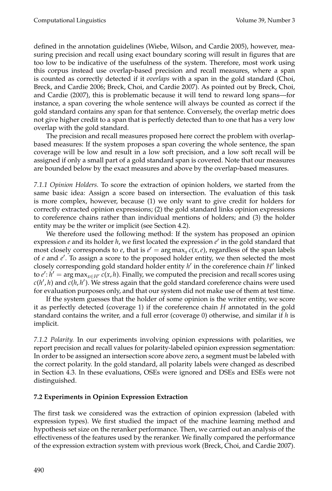defined in the annotation guidelines (Wiebe, Wilson, and Cardie 2005), however, measuring precision and recall using exact boundary scoring will result in figures that are too low to be indicative of the usefulness of the system. Therefore, most work using this corpus instead use overlap-based precision and recall measures, where a span is counted as correctly detected if it *overlaps* with a span in the gold standard (Choi, Breck, and Cardie 2006; Breck, Choi, and Cardie 2007). As pointed out by Breck, Choi, and Cardie (2007), this is problematic because it will tend to reward long spans—for instance, a span covering the whole sentence will always be counted as correct if the gold standard contains any span for that sentence. Conversely, the overlap metric does not give higher credit to a span that is perfectly detected than to one that has a very low overlap with the gold standard.

The precision and recall measures proposed here correct the problem with overlapbased measures: If the system proposes a span covering the whole sentence, the span coverage will be low and result in a low soft precision, and a low soft recall will be assigned if only a small part of a gold standard span is covered. Note that our measures are bounded below by the exact measures and above by the overlap-based measures.

*7.1.1 Opinion Holders.* To score the extraction of opinion holders, we started from the same basic idea: Assign a score based on intersection. The evaluation of this task is more complex, however, because (1) we only want to give credit for holders for correctly extracted opinion expressions; (2) the gold standard links opinion expressions to coreference chains rather than individual mentions of holders; and (3) the holder entity may be the writer or implicit (see Section 4.2).

We therefore used the following method: If the system has proposed an opinion expression *e* and its holder *h*, we first located the expression *e* ′ in the gold standard that most closely corresponds to *e*, that is  $e' = \arg \max_x c(x, e)$ , regardless of the span labels of *e* and *e* ′ . To assign a score to the proposed holder entity, we then selected the most closely corresponding gold standard holder entity *h* ′ in the coreference chain *H*′ linked to  $e'$ :  $h' = \arg \max_{x \in H'} c(x, h)$ . Finally, we computed the precision and recall scores using *c*(*h* ′ , *h*) and *c*(*h*, *h* ′ ). We stress again that the gold standard coreference chains were used for evaluation purposes only, and that our system did not make use of them at test time.

If the system guesses that the holder of some opinion is the writer entity, we score it as perfectly detected (coverage 1) if the coreference chain *H* annotated in the gold standard contains the writer, and a full error (coverage 0) otherwise, and similar if *h* is implicit.

*7.1.2 Polarity.* In our experiments involving opinion expressions with polarities, we report precision and recall values for polarity-labeled opinion expression segmentation: In order to be assigned an intersection score above zero, a segment must be labeled with the correct polarity. In the gold standard, all polarity labels were changed as described in Section 4.3. In these evaluations, OSEs were ignored and DSEs and ESEs were not distinguished.

# **7.2 Experiments in Opinion Expression Extraction**

The first task we considered was the extraction of opinion expression (labeled with expression types). We first studied the impact of the machine learning method and hypothesis set size on the reranker performance. Then, we carried out an analysis of the effectiveness of the features used by the reranker. We finally compared the performance of the expression extraction system with previous work (Breck, Choi, and Cardie 2007).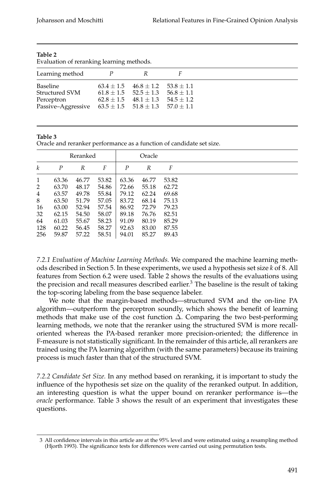| Learning method<br>Baseline<br>$63.4 \pm 1.5$ $46.8 \pm 1.2$ $53.8 \pm 1.1$<br>Structured SVM<br>$61.8 \pm 1.5$ $52.5 \pm 1.3$ $56.8 \pm 1.1$<br>$62.8 \pm 1.5$ $48.1 \pm 1.3$ $54.5 \pm 1.2$<br>Perceptron | Evaluation of reranking learning methods. |  |
|-------------------------------------------------------------------------------------------------------------------------------------------------------------------------------------------------------------|-------------------------------------------|--|
|                                                                                                                                                                                                             |                                           |  |
| Passive-Aggressive $63.5 \pm 1.5$ $51.8 \pm 1.3$ $57.0 \pm 1.1$                                                                                                                                             |                                           |  |

Evaluation of reranking learning methods.

#### **Table 3**

Oracle and reranker performance as a function of candidate set size.

|                  |                  | Reranked |       |                  | Oracle |       |
|------------------|------------------|----------|-------|------------------|--------|-------|
| $\boldsymbol{k}$ | $\boldsymbol{P}$ | R        | F     | $\boldsymbol{P}$ | R      | F     |
| 1                | 63.36            | 46.77    | 53.82 | 63.36            | 46.77  | 53.82 |
| 2                | 63.70            | 48.17    | 54.86 | 72.66            | 55.18  | 62.72 |
| $\overline{4}$   | 63.57            | 49.78    | 55.84 | 79.12            | 62.24  | 69.68 |
| 8                | 63.50            | 51.79    | 57.05 | 83.72            | 68.14  | 75.13 |
| 16               | 63.00            | 52.94    | 57.54 | 86.92            | 72.79  | 79.23 |
| 32               | 62.15            | 54.50    | 58.07 | 89.18            | 76.76  | 82.51 |
| 64               | 61.03            | 55.67    | 58.23 | 91.09            | 80.19  | 85.29 |
| 128              | 60.22            | 56.45    | 58.27 | 92.63            | 83.00  | 87.55 |
| 256              | 59.87            | 57.22    | 58.51 | 94.01            | 85.27  | 89.43 |

*7.2.1 Evaluation of Machine Learning Methods.* We compared the machine learning methods described in Section 5. In these experiments, we used a hypothesis set size *k* of 8. All features from Section 6.2 were used. Table 2 shows the results of the evaluations using the precision and recall measures described earlier.<sup>3</sup> The baseline is the result of taking the top-scoring labeling from the base sequence labeler.

We note that the margin-based methods—structured SVM and the on-line PA algorithm—outperform the perceptron soundly, which shows the benefit of learning methods that make use of the cost function  $\Delta$ . Comparing the two best-performing learning methods, we note that the reranker using the structured SVM is more recalloriented whereas the PA-based reranker more precision-oriented; the difference in F-measure is not statistically significant. In the remainder of this article, all rerankers are trained using the PA learning algorithm (with the same parameters) because its training process is much faster than that of the structured SVM.

*7.2.2 Candidate Set Size.* In any method based on reranking, it is important to study the influence of the hypothesis set size on the quality of the reranked output. In addition, an interesting question is what the upper bound on reranker performance is—the *oracle* performance. Table 3 shows the result of an experiment that investigates these questions.

<sup>3</sup> All confidence intervals in this article are at the 95% level and were estimated using a resampling method (Hjorth 1993). The significance tests for differences were carried out using permutation tests.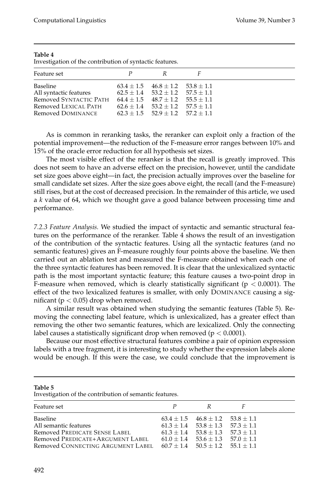| P<br>R<br>$63.4 \pm 1.5$ $46.8 \pm 1.2$ $53.8 \pm 1.1$<br>$62.5 \pm 1.4$ $53.2 \pm 1.2$ $57.5 \pm 1.1$<br>$64.4 \pm 1.5$ $48.7 \pm 1.2$ $55.5 \pm 1.1$<br>$62.6 \pm 1.4$ $53.2 \pm 1.2$ $57.5 \pm 1.1$<br>$62.3 \pm 1.5$ $52.9 \pm 1.2$ $57.2 \pm 1.1$ | Investigation of the contribution of syntactic features.                                                  |  |  |
|--------------------------------------------------------------------------------------------------------------------------------------------------------------------------------------------------------------------------------------------------------|-----------------------------------------------------------------------------------------------------------|--|--|
|                                                                                                                                                                                                                                                        | Feature set                                                                                               |  |  |
|                                                                                                                                                                                                                                                        | Baseline<br>All syntactic features<br>Removed SYNTACTIC PATH<br>Removed LEXICAL PATH<br>Removed DOMINANCE |  |  |

Investigation of the contribution of syntactic features.

As is common in reranking tasks, the reranker can exploit only a fraction of the potential improvement—the reduction of the F-measure error ranges between 10% and 15% of the oracle error reduction for all hypothesis set sizes.

The most visible effect of the reranker is that the recall is greatly improved. This does not seem to have an adverse effect on the precision, however, until the candidate set size goes above eight—in fact, the precision actually improves over the baseline for small candidate set sizes. After the size goes above eight, the recall (and the F-measure) still rises, but at the cost of decreased precision. In the remainder of this article, we used a *k* value of 64, which we thought gave a good balance between processing time and performance.

*7.2.3 Feature Analysis.* We studied the impact of syntactic and semantic structural features on the performance of the reranker. Table 4 shows the result of an investigation of the contribution of the syntactic features. Using all the syntactic features (and no semantic features) gives an F-measure roughly four points above the baseline. We then carried out an ablation test and measured the F-measure obtained when each one of the three syntactic features has been removed. It is clear that the unlexicalized syntactic path is the most important syntactic feature; this feature causes a two-point drop in F-measure when removed, which is clearly statistically significant ( $p < 0.0001$ ). The effect of the two lexicalized features is smaller, with only DOMINANCE causing a significant ( $p < 0.05$ ) drop when removed.

A similar result was obtained when studying the semantic features (Table 5). Removing the connecting label feature, which is unlexicalized, has a greater effect than removing the other two semantic features, which are lexicalized. Only the connecting label causes a statistically significant drop when removed ( $p < 0.0001$ ).

Because our most effective structural features combine a pair of opinion expression labels with a tree fragment, it is interesting to study whether the expression labels alone would be enough. If this were the case, we could conclude that the improvement is

| Table |  |
|-------|--|
|       |  |

Investigation of the contribution of semantic features.

| Feature set<br>P<br>R<br>$63.4 \pm 1.5$ $46.8 \pm 1.2$ $53.8 \pm 1.1$<br><b>Baseline</b><br>All semantic features<br>$61.3 \pm 1.4$ $53.8 \pm 1.3$ $57.3 \pm 1.1$<br>Removed PREDICATE SENSE LABEL<br>$61.3 + 1.4$ $53.8 + 1.3$ $57.3 + 1.1$<br>Removed PREDICATE+ARGUMENT LABEL<br>$61.0 \pm 1.4$ $53.6 \pm 1.3$ $57.0 \pm 1.1$<br>Removed CONNECTING ARGUMENT LABEL $60.7 + 1.4$ $50.5 + 1.2$ $55.1 + 1.1$ |  |  |
|--------------------------------------------------------------------------------------------------------------------------------------------------------------------------------------------------------------------------------------------------------------------------------------------------------------------------------------------------------------------------------------------------------------|--|--|
|                                                                                                                                                                                                                                                                                                                                                                                                              |  |  |
|                                                                                                                                                                                                                                                                                                                                                                                                              |  |  |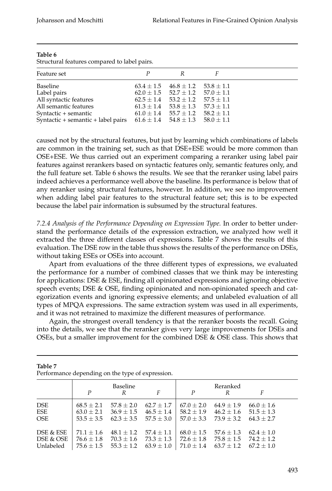| Feature set                                                                     | к                                            |  |
|---------------------------------------------------------------------------------|----------------------------------------------|--|
| Baseline                                                                        | $63.4 \pm 1.5$ $46.8 \pm 1.2$ $53.8 \pm 1.1$ |  |
| Label pairs                                                                     | $62.0 \pm 1.5$ $52.7 \pm 1.2$ $57.0 \pm 1.1$ |  |
| All syntactic features                                                          | $62.5 \pm 1.4$ $53.2 \pm 1.2$ $57.5 \pm 1.1$ |  |
| All semantic features                                                           | $61.3 \pm 1.4$ $53.8 \pm 1.3$ $57.3 \pm 1.1$ |  |
| Syntactic + semantic                                                            | $61.0 \pm 1.4$ $55.7 \pm 1.2$ $58.2 \pm 1.1$ |  |
| Syntactic + semantic + label pairs $61.6 \pm 1.4$ $54.8 \pm 1.3$ $58.0 \pm 1.1$ |                                              |  |
|                                                                                 |                                              |  |

Structural features compared to label pairs.

caused not by the structural features, but just by learning which combinations of labels are common in the training set, such as that DSE+ESE would be more common than OSE+ESE. We thus carried out an experiment comparing a reranker using label pair features against rerankers based on syntactic features only, semantic features only, and the full feature set. Table 6 shows the results. We see that the reranker using label pairs indeed achieves a performance well above the baseline. Its performance is below that of any reranker using structural features, however. In addition, we see no improvement when adding label pair features to the structural feature set; this is to be expected because the label pair information is subsumed by the structural features.

*7.2.4 Analysis of the Performance Depending on Expression Type.* In order to better understand the performance details of the expression extraction, we analyzed how well it extracted the three different classes of expressions. Table 7 shows the results of this evaluation. The DSE row in the table thus shows the results of the performance on DSEs, without taking ESEs or OSEs into account.

Apart from evaluations of the three different types of expressions, we evaluated the performance for a number of combined classes that we think may be interesting for applications: DSE & ESE, finding all opinionated expressions and ignoring objective speech events; DSE & OSE, finding opinionated and non-opinionated speech and categorization events and ignoring expressive elements; and unlabeled evaluation of all types of MPQA expressions. The same extraction system was used in all experiments, and it was not retrained to maximize the different measures of performance.

Again, the strongest overall tendency is that the reranker boosts the recall. Going into the details, we see that the reranker gives very large improvements for DSEs and OSEs, but a smaller improvement for the combined DSE  $\&$  OSE class. This shows that

| I chomiance depending on the type of expression. |                |                |                |                |                |                |  |
|--------------------------------------------------|----------------|----------------|----------------|----------------|----------------|----------------|--|
|                                                  | P              | Baseline<br>R  | F              | P              | Reranked<br>R  | F              |  |
| <b>DSE</b>                                       | $68.5 \pm 2.1$ | $57.8 \pm 2.0$ | $62.7 \pm 1.7$ | $67.0 \pm 2.0$ | $64.9 \pm 1.9$ | $66.0 \pm 1.6$ |  |
| ESE                                              | $63.0 \pm 2.1$ | $36.9 \pm 1.5$ | $46.5 \pm 1.4$ | $58.2 \pm 1.9$ | $46.2 \pm 1.6$ | $51.5 \pm 1.3$ |  |
| <b>OSE</b>                                       | $53.5 \pm 3.5$ | $62.3 + 3.5$   | $57.5 \pm 3.0$ | $57.0 \pm 3.3$ | $73.9 + 3.2$   | $64.3 + 2.7$   |  |
| DSE & ESE                                        | $71.1 \pm 1.6$ | $48.1 \pm 1.2$ | $57.4 \pm 1.1$ | $68.0 \pm 1.5$ | $57.6 \pm 1.3$ | $62.4 \pm 1.0$ |  |
| DSE & OSE                                        | $76.6 \pm 1.8$ | $70.3 \pm 1.6$ | $73.3 \pm 1.3$ | $72.6 \pm 1.8$ | $75.8 \pm 1.5$ | $74.2 + 1.2$   |  |
| Unlabeled                                        | $75.6 \pm 1.5$ | $55.3 \pm 1.2$ | $63.9 \pm 1.0$ | $71.0 \pm 1.4$ | $63.7 \pm 1.2$ | $67.2 \pm 1.0$ |  |

**Table 7** Performance depending on the type of expression.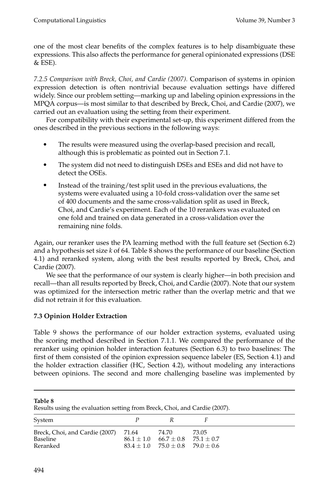one of the most clear benefits of the complex features is to help disambiguate these expressions. This also affects the performance for general opinionated expressions (DSE  $&$  ESE).

*7.2.5 Comparison with Breck, Choi, and Cardie (2007).* Comparison of systems in opinion expression detection is often nontrivial because evaluation settings have differed widely. Since our problem setting—marking up and labeling opinion expressions in the MPQA corpus—is most similar to that described by Breck, Choi, and Cardie (2007), we carried out an evaluation using the setting from their experiment.

For compatibility with their experimental set-up, this experiment differed from the ones described in the previous sections in the following ways:

- The results were measured using the overlap-based precision and recall, although this is problematic as pointed out in Section 7.1.
- The system did not need to distinguish DSEs and ESEs and did not have to detect the OSEs.
- r Instead of the training/test split used in the previous evaluations, the systems were evaluated using a 10-fold cross-validation over the same set of 400 documents and the same cross-validation split as used in Breck, Choi, and Cardie's experiment. Each of the 10 rerankers was evaluated on one fold and trained on data generated in a cross-validation over the remaining nine folds.

Again, our reranker uses the PA learning method with the full feature set (Section 6.2) and a hypothesis set size *k* of 64. Table 8 shows the performance of our baseline (Section 4.1) and reranked system, along with the best results reported by Breck, Choi, and Cardie (2007).

We see that the performance of our system is clearly higher—in both precision and recall—than all results reported by Breck, Choi, and Cardie (2007). Note that our system was optimized for the intersection metric rather than the overlap metric and that we did not retrain it for this evaluation.

# **7.3 Opinion Holder Extraction**

Table 9 shows the performance of our holder extraction systems, evaluated using the scoring method described in Section 7.1.1. We compared the performance of the reranker using opinion holder interaction features (Section 6.3) to two baselines: The first of them consisted of the opinion expression sequence labeler (ES, Section 4.1) and the holder extraction classifier (HC, Section 4.2), without modeling any interactions between opinions. The second and more challenging baseline was implemented by

**Table 8**

Results using the evaluation setting from Breck, Choi, and Cardie (2007).

| System                                                       | К                                                                                                     |       |
|--------------------------------------------------------------|-------------------------------------------------------------------------------------------------------|-------|
| Breck, Choi, and Cardie (2007) 71.64<br>Baseline<br>Reranked | 74.70<br>$86.1 \pm 1.0$ $66.7 \pm 0.8$ $75.1 \pm 0.7$<br>$83.4 \pm 1.0$ $75.0 \pm 0.8$ $79.0 \pm 0.6$ | 73.05 |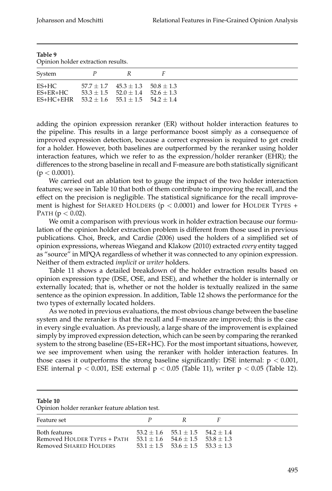| Table 9<br>Opinion holder extraction results.                           |   |                                                                                        |  |  |  |
|-------------------------------------------------------------------------|---|----------------------------------------------------------------------------------------|--|--|--|
| System                                                                  | P | R                                                                                      |  |  |  |
| ES+HC<br>$ES+ER+HC$<br>ES+HC+EHR $53.2 + 1.6$ $55.1 + 1.5$ $54.2 + 1.4$ |   | $57.7 \pm 1.7$ $45.3 \pm 1.3$ $50.8 \pm 1.3$<br>$53.3 + 1.5$ $52.0 + 1.4$ $52.6 + 1.3$ |  |  |  |

adding the opinion expression reranker (ER) without holder interaction features to the pipeline. This results in a large performance boost simply as a consequence of improved expression detection, because a correct expression is required to get credit for a holder. However, both baselines are outperformed by the reranker using holder interaction features, which we refer to as the expression/holder reranker (EHR); the differences to the strong baseline in recall and F-measure are both statistically significant  $(p < 0.0001)$ .

We carried out an ablation test to gauge the impact of the two holder interaction features; we see in Table 10 that both of them contribute to improving the recall, and the effect on the precision is negligible. The statistical significance for the recall improvement is highest for SHARED HOLDERS ( $p < 0.0001$ ) and lower for HOLDER TYPES + PATH ( $p < 0.02$ ).

We omit a comparison with previous work in holder extraction because our formulation of the opinion holder extraction problem is different from those used in previous publications. Choi, Breck, and Cardie (2006) used the holders of a simplified set of opinion expressions, whereas Wiegand and Klakow (2010) extracted *every* entity tagged as "source" in MPQA regardless of whether it was connected to any opinion expression. Neither of them extracted *implicit* or *writer* holders.

Table 11 shows a detailed breakdown of the holder extraction results based on opinion expression type (DSE, OSE, and ESE), and whether the holder is internally or externally located; that is, whether or not the holder is textually realized in the same sentence as the opinion expression. In addition, Table 12 shows the performance for the two types of externally located holders.

As we noted in previous evaluations, the most obvious change between the baseline system and the reranker is that the recall and F-measure are improved; this is the case in every single evaluation. As previously, a large share of the improvement is explained simply by improved expression detection, which can be seen by comparing the reranked system to the strong baseline (ES+ER+HC). For the most important situations, however, we see improvement when using the reranker with holder interaction features. In those cases it outperforms the strong baseline significantly: DSE internal:  $p < 0.001$ , ESE internal  $p < 0.001$ , ESE external  $p < 0.05$  (Table 11), writer  $p < 0.05$  (Table 12).

#### **Table 10**

Opinion holder reranker feature ablation test.

| Feature set                                                            | P | R.                                                                                                                                     |  |
|------------------------------------------------------------------------|---|----------------------------------------------------------------------------------------------------------------------------------------|--|
| Both features<br>Removed HOLDER TYPES + PATH<br>Removed SHARED HOLDERS |   | $53.2 + 1.6$ $55.1 + 1.5$ $54.2 + 1.4$<br>$53.1 \pm 1.6$ $54.6 \pm 1.5$ $53.8 \pm 1.3$<br>$53.1 \pm 1.5$ $53.6 \pm 1.5$ $53.3 \pm 1.3$ |  |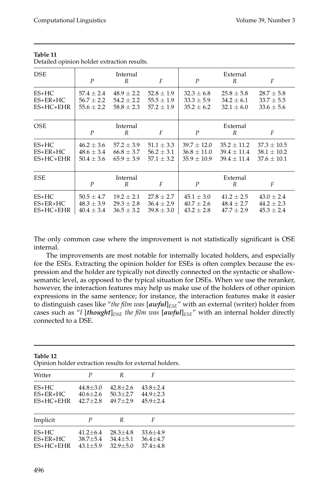| <b>DSE</b>                           | $\boldsymbol{P}$                                   | Internal<br>R                                      | F                                                  | $\boldsymbol{P}$                                      | External<br>R                                         | F                                                     |
|--------------------------------------|----------------------------------------------------|----------------------------------------------------|----------------------------------------------------|-------------------------------------------------------|-------------------------------------------------------|-------------------------------------------------------|
| $ES+HC$<br>$ES+ER+HC$<br>$ES+HC+EHR$ | $57.4 + 2.4$<br>$56.7 \pm 2.2$<br>$55.6 \pm 2.2$   | $48.9 \pm 2.2$<br>$54.2 \pm 2.2$<br>$58.8 \pm 2.3$ | $52.8 \pm 1.9$<br>$55.5 \pm 1.9$<br>$57.2 \pm 1.9$ | $32.3 \pm 6.8$<br>$33.3 \pm 5.9$<br>$35.2 \pm 6.2$    | $25.8 \pm 5.8$<br>$34.2 \pm 6.1$<br>$32.1 \pm 6.0$    | $28.7 \pm 5.8$<br>$33.7 \pm 5.5$<br>$33.6 \pm 5.6$    |
| <b>OSE</b>                           | $\boldsymbol{P}$                                   | Internal<br>R                                      | F                                                  | $\boldsymbol{P}$                                      | External<br>R                                         | F                                                     |
| $ES+HC$<br>$ES+ER+HC$<br>$ES+HC+EHR$ | $46.2 \pm 3.6$<br>$48.6 \pm 3.4$<br>$50.4 \pm 3.6$ | $57.2 \pm 3.9$<br>$66.8 \pm 3.7$<br>$65.9 \pm 3.9$ | $51.1 \pm 3.3$<br>$56.2 \pm 3.1$<br>$57.1 \pm 3.2$ | $39.7 \pm 12.0$<br>$36.8 \pm 11.0$<br>$35.9 \pm 10.9$ | $35.2 \pm 11.2$<br>$39.4 \pm 11.4$<br>$39.4 \pm 11.4$ | $37.3 \pm 10.5$<br>$38.1 \pm 10.2$<br>$37.6 \pm 10.1$ |
| <b>ESE</b>                           | $\boldsymbol{P}$                                   | Internal<br>R                                      | F                                                  | $\boldsymbol{P}$                                      | External<br>R                                         | F                                                     |
| $ES+HC$<br>$ES+ER+HC$<br>$ES+HC+EHR$ | $50.5 \pm 4.7$<br>$48.3 \pm 3.9$<br>$40.4 \pm 3.4$ | $19.2 \pm 2.1$<br>$29.3 \pm 2.8$<br>$36.5 \pm 3.2$ | $27.8 \pm 2.7$<br>$36.4 \pm 2.9$<br>$39.8 \pm 3.0$ | $45.1 \pm 3.0$<br>$40.7 \pm 2.6$<br>$43.2 \pm 2.8$    | $41.2 \pm 2.5$<br>$48.4 \pm 2.7$<br>$47.7 \pm 2.9$    | $43.0 \pm 2.4$<br>$44.2 \pm 2.3$<br>$45.3 \pm 2.4$    |

Detailed opinion holder extraction results.

The only common case where the improvement is not statistically significant is OSE internal.

The improvements are most notable for internally located holders, and especially for the ESEs. Extracting the opinion holder for ESEs is often complex because the expression and the holder are typically not directly connected on the syntactic or shallowsemantic level, as opposed to the typical situation for DSEs. When we use the reranker, however, the interaction features may help us make use of the holders of other opinion expressions in the same sentence; for instance, the interaction features make it easier to distinguish cases like "*the film was* [*awful*]*ESE*" with an external (writer) holder from cases such as "*I* [*thought*]<sub>*DSE</sub> the film was* [*awful*]<sub>*ESE*</sub>" with an internal holder directly</sub> connected to a DSE.

| Table 12<br>Opinion holder extraction results for external holders. |                                                  |                                                  |                                                  |  |  |  |  |
|---------------------------------------------------------------------|--------------------------------------------------|--------------------------------------------------|--------------------------------------------------|--|--|--|--|
| Writer                                                              | $\boldsymbol{P}$                                 | R                                                | F                                                |  |  |  |  |
| ES+HC<br>ES+ER+HC<br>ES+HC+EHR                                      | $44.8 \pm 3.0$<br>$40.6 \pm 2.6$<br>$42.7 + 2.8$ | $42.8 + 2.6$<br>$50.3 \pm 2.7$<br>$49.7 + 2.9$   | $43.8 \pm 2.4$<br>$44.9 \pm 2.3$<br>$45.9 + 2.4$ |  |  |  |  |
| Implicit                                                            | $\boldsymbol{P}$                                 | R                                                | F                                                |  |  |  |  |
| $ES+HC$<br>$ES+ER+HC$<br>ES+HC+EHR                                  | $41.2 + 6.4$<br>38.7 $\pm$ 5.4<br>$43.1 \pm 5.9$ | $28.3 + 4.8$<br>$34.4 \pm 5.1$<br>$32.9 \pm 5.0$ | $33.6 + 4.9$<br>$36.4 \pm 4.7$<br>$37.4 \pm 4.8$ |  |  |  |  |

**Table 12**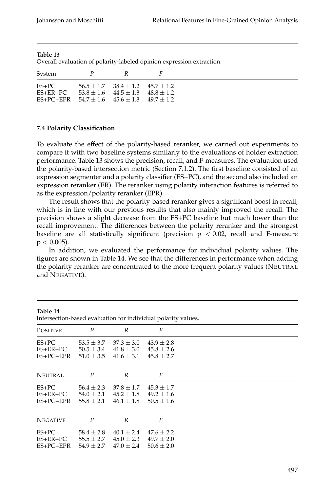| - Overall evaluation of polarity-labeled opinion expression extraction.         |     |                                                                                  |  |  |  |  |  |  |
|---------------------------------------------------------------------------------|-----|----------------------------------------------------------------------------------|--|--|--|--|--|--|
| System                                                                          | P R |                                                                                  |  |  |  |  |  |  |
| $ES+PC$<br>$ES+ER+PC$<br>ES+PC+EPR $54.7 \pm 1.6$ $45.6 \pm 1.3$ $49.7 \pm 1.2$ |     | $56.5 + 1.7$ $38.4 + 1.2$ $45.7 + 1.2$<br>$53.8 + 1.6$ $44.5 + 1.3$ $48.8 + 1.2$ |  |  |  |  |  |  |

Overall evaluation of polarity-labeled opinion expression extraction.

#### **7.4 Polarity Classification**

To evaluate the effect of the polarity-based reranker, we carried out experiments to compare it with two baseline systems similarly to the evaluations of holder extraction performance. Table 13 shows the precision, recall, and F-measures. The evaluation used the polarity-based intersection metric (Section 7.1.2). The first baseline consisted of an expression segmenter and a polarity classifier (ES+PC), and the second also included an expression reranker (ER). The reranker using polarity interaction features is referred to as the expression/polarity reranker (EPR).

The result shows that the polarity-based reranker gives a significant boost in recall, which is in line with our previous results that also mainly improved the recall. The precision shows a slight decrease from the ES+PC baseline but much lower than the recall improvement. The differences between the polarity reranker and the strongest baseline are all statistically significant (precision  $p < 0.02$ , recall and F-measure  $p < 0.005$ ).

In addition, we evaluated the performance for individual polarity values. The figures are shown in Table 14. We see that the differences in performance when adding the polarity reranker are concentrated to the more frequent polarity values (NEUTRAL and NEGATIVE).

| Table 14<br>Intersection-based evaluation for individual polarity values. |                                                    |                                                    |                                                    |  |  |  |  |
|---------------------------------------------------------------------------|----------------------------------------------------|----------------------------------------------------|----------------------------------------------------|--|--|--|--|
| <b>POSITIVE</b>                                                           | $\boldsymbol{P}$                                   | R                                                  | F                                                  |  |  |  |  |
| $ES+PC$<br>ES+ER+PC<br>$ES+PC+EPR$                                        | $53.5 \pm 3.7$<br>$50.5 \pm 3.4$<br>$51.0 \pm 3.5$ | $37.3 \pm 3.0$<br>$41.8 \pm 3.0$<br>$41.6 \pm 3.1$ | $43.9 \pm 2.8$<br>$45.8 \pm 2.6$<br>$45.8 \pm 2.7$ |  |  |  |  |
| <b>NEUTRAL</b>                                                            | $\boldsymbol{P}$                                   | R                                                  | F                                                  |  |  |  |  |
| $ES+PC$<br>$ES+ER+PC$<br>ES+PC+EPR                                        | $56.4 \pm 2.3$<br>$54.0 \pm 2.1$<br>$55.8 \pm 2.1$ | $37.8 \pm 1.7$<br>$45.2 \pm 1.8$<br>$46.1 \pm 1.8$ | $45.3 \pm 1.7$<br>$49.2 \pm 1.6$<br>$50.5 \pm 1.6$ |  |  |  |  |
| <b>NEGATIVE</b>                                                           | $\boldsymbol{P}$                                   | R                                                  | F                                                  |  |  |  |  |
| $ES+PC$<br>$ES+ER+PC$<br>$ES+PC+EPR$                                      | $58.4 \pm 2.8$<br>$55.5 \pm 2.7$<br>$54.9 \pm 2.7$ | $40.1 \pm 2.4$<br>$45.0 \pm 2.3$<br>$47.0 \pm 2.4$ | $47.6 \pm 2.2$<br>$49.7 \pm 2.0$<br>$50.6 \pm 2.0$ |  |  |  |  |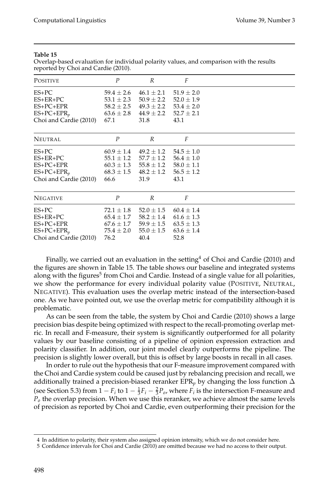| <b>POSITIVE</b>        | $\boldsymbol{P}$ | R              | F              |  |
|------------------------|------------------|----------------|----------------|--|
| $ES+PC$                | $59.4 \pm 2.6$   | $46.1 \pm 2.1$ | $51.9 \pm 2.0$ |  |
| $ES+ER+PC$             | $53.1 \pm 2.3$   | $50.9 \pm 2.2$ | $52.0 \pm 1.9$ |  |
| ES+PC+EPR              | $58.2 \pm 2.5$   | $49.3 \pm 2.2$ | $53.4 \pm 2.0$ |  |
| $ES+PC+EPR_p$          | $63.6 \pm 2.8$   | $44.9 \pm 2.2$ | $52.7 \pm 2.1$ |  |
| Choi and Cardie (2010) | 67.1             | 31.8           | 43.1           |  |
| <b>NEUTRAL</b>         | $\boldsymbol{P}$ | R              | F              |  |
| $ES+PC$                | $60.9 \pm 1.4$   | $49.2 \pm 1.2$ | $54.5 \pm 1.0$ |  |
| $ES+ER+PC$             | $55.1 \pm 1.2$   | $57.7 \pm 1.2$ | $56.4 \pm 1.0$ |  |
| ES+PC+EPR              | $60.3 \pm 1.3$   | $55.8 \pm 1.2$ | $58.0 \pm 1.1$ |  |
| $ES+PC+EPR_p$          | $68.3 \pm 1.5$   | $48.2 \pm 1.2$ | $56.5 \pm 1.2$ |  |
| Choi and Cardie (2010) | 66.6             | 31.9           | 43.1           |  |
| <b>NEGATIVE</b>        | $\boldsymbol{P}$ | R              | F              |  |
| $ES+PC$                | $72.1 \pm 1.8$   | $52.0 \pm 1.5$ | $60.4 \pm 1.4$ |  |
| $ES+ER+PC$             | $65.4 \pm 1.7$   | $58.2 \pm 1.4$ | $61.6 \pm 1.3$ |  |
| ES+PC+EPR              | $67.6 \pm 1.7$   | $59.9 \pm 1.5$ | $63.5 \pm 1.3$ |  |
| $ES+PC+EPR_p$          | $75.4 \pm 2.0$   | $55.0 \pm 1.5$ | $63.6 \pm 1.4$ |  |
| Choi and Cardie (2010) | 76.2             | 40.4           | 52.8           |  |

Overlap-based evaluation for individual polarity values, and comparison with the results reported by Choi and Cardie (2010).

Finally, we carried out an evaluation in the setting<sup>4</sup> of Choi and Cardie (2010) and the figures are shown in Table 15. The table shows our baseline and integrated systems along with the figures<sup>5</sup> from Choi and Cardie. Instead of a single value for all polarities, we show the performance for every individual polarity value (POSITIVE, NEUTRAL, NEGATIVE). This evaluation uses the overlap metric instead of the intersection-based one. As we have pointed out, we use the overlap metric for compatibility although it is problematic.

As can be seen from the table, the system by Choi and Cardie (2010) shows a large precision bias despite being optimized with respect to the recall-promoting overlap metric. In recall and F-measure, their system is significantly outperformed for all polarity values by our baseline consisting of a pipeline of opinion expression extraction and polarity classifier. In addition, our joint model clearly outperforms the pipeline. The precision is slightly lower overall, but this is offset by large boosts in recall in all cases.

In order to rule out the hypothesis that our F-measure improvement compared with the Choi and Cardie system could be caused just by rebalancing precision and recall, we additionally trained a precision-biased reranker EPR<sub>*p*</sub> by changing the loss function  $\Delta$ (see Section 5.3) from  $1 - F_i$  to  $1 - \frac{1}{3}F_i - \frac{2}{3}P_o$ , where  $F_i$  is the intersection F-measure and *Po* the overlap precision. When we use this reranker, we achieve almost the same levels of precision as reported by Choi and Cardie, even outperforming their precision for the

<sup>4</sup> In addition to polarity, their system also assigned opinion intensity, which we do not consider here.

<sup>5</sup> Confidence intervals for Choi and Cardie (2010) are omitted because we had no access to their output.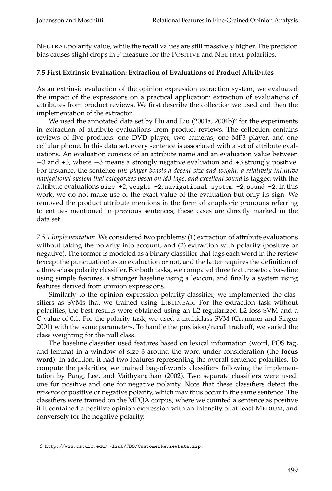NEUTRAL polarity value, while the recall values are still massively higher. The precision bias causes slight drops in F-measure for the POSITIVE and NEUTRAL polarities.

# **7.5 First Extrinsic Evaluation: Extraction of Evaluations of Product Attributes**

As an extrinsic evaluation of the opinion expression extraction system, we evaluated the impact of the expressions on a practical application: extraction of evaluations of attributes from product reviews. We first describe the collection we used and then the implementation of the extractor.

We used the annotated data set by Hu and Liu (2004a, 2004b) $^6$  for the experiments in extraction of attribute evaluations from product reviews. The collection contains reviews of five products: one DVD player, two cameras, one MP3 player, and one cellular phone. In this data set, every sentence is associated with a set of attribute evaluations. An evaluation consists of an attribute name and an evaluation value between −3 and +3, where −3 means a strongly negative evaluation and +3 strongly positive. For instance, the sentence *this player boasts a decent size and weight, a relatively-intuitive navigational system that categorizes based on id3 tags, and excellent sound* is tagged with the attribute evaluations size +2, weight +2, navigational system +2, sound +2. In this work, we do not make use of the exact value of the evaluation but only its sign. We removed the product attribute mentions in the form of anaphoric pronouns referring to entities mentioned in previous sentences; these cases are directly marked in the data set.

*7.5.1 Implementation.* We considered two problems: (1) extraction of attribute evaluations without taking the polarity into account, and (2) extraction with polarity (positive or negative). The former is modeled as a binary classifier that tags each word in the review (except the punctuation) as an evaluation or not, and the latter requires the definition of a three-class polarity classifier. For both tasks, we compared three feature sets: a baseline using simple features, a stronger baseline using a lexicon, and finally a system using features derived from opinion expressions.

Similarly to the opinion expression polarity classifier, we implemented the classifiers as SVMs that we trained using LIBLINEAR. For the extraction task without polarities, the best results were obtained using an L2-regularized L2-loss SVM and a *C* value of 0.1. For the polarity task, we used a multiclass SVM (Crammer and Singer 2001) with the same parameters. To handle the precision/recall tradeoff, we varied the class weighting for the null class.

The baseline classifier used features based on lexical information (word, POS tag, and lemma) in a window of size 3 around the word under consideration (the **focus word**). In addition, it had two features representing the overall sentence polarities. To compute the polarities, we trained bag-of-words classifiers following the implementation by Pang, Lee, and Vaithyanathan (2002). Two separate classifiers were used: one for positive and one for negative polarity. Note that these classifiers detect the *presence* of positive or negative polarity, which may thus occur in the same sentence. The classifiers were trained on the MPQA corpus, where we counted a sentence as positive if it contained a positive opinion expression with an intensity of at least MEDIUM, and conversely for the negative polarity.

<sup>6</sup> http://www.cs.uic.edu/∼liub/FBS/CustomerReviewData.zip.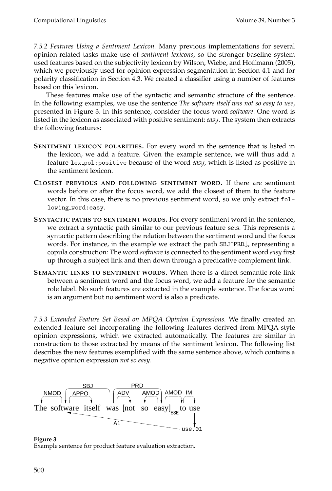*7.5.2 Features Using a Sentiment Lexicon.* Many previous implementations for several opinion-related tasks make use of *sentiment lexicons*, so the stronger baseline system used features based on the subjectivity lexicon by Wilson, Wiebe, and Hoffmann (2005), which we previously used for opinion expression segmentation in Section 4.1 and for polarity classification in Section 4.3. We created a classifier using a number of features based on this lexicon.

These features make use of the syntactic and semantic structure of the sentence. In the following examples, we use the sentence *The software itself was not so easy to use*, presented in Figure 3. In this sentence, consider the focus word *software*. One word is listed in the lexicon as associated with positive sentiment: *easy*. The system then extracts the following features:

- **SENTIMENT LEXICON POLARITIES.** For every word in the sentence that is listed in the lexicon, we add a feature. Given the example sentence, we will thus add a feature lex pol:positive because of the word *easy*, which is listed as positive in the sentiment lexicon.
- **CLOSEST PREVIOUS AND FOLLOWING SENTIMENT WORD.** If there are sentiment words before or after the focus word, we add the closest of them to the feature vector. In this case, there is no previous sentiment word, so we only extract following word:easy.
- **SYNTACTIC PATHS TO SENTIMENT WORDS.** For every sentiment word in the sentence, we extract a syntactic path similar to our previous feature sets. This represents a syntactic pattern describing the relation between the sentiment word and the focus words. For instance, in the example we extract the path SBJ↑PRD↓, representing a copula construction: The word *software* is connected to the sentiment word *easy* first up through a subject link and then down through a predicative complement link.
- **SEMANTIC LINKS TO SENTIMENT WORDS.** When there is a direct semantic role link between a sentiment word and the focus word, we add a feature for the semantic role label. No such features are extracted in the example sentence. The focus word is an argument but no sentiment word is also a predicate.

*7.5.3 Extended Feature Set Based on MPQA Opinion Expressions.* We finally created an extended feature set incorporating the following features derived from MPQA-style opinion expressions, which we extracted automatically. The features are similar in construction to those extracted by means of the sentiment lexicon. The following list describes the new features exemplified with the same sentence above, which contains a negative opinion expression *not so easy*.



**Figure 3** Example sentence for product feature evaluation extraction.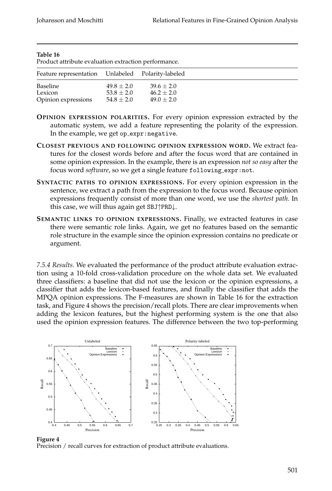| Product attribute evaluation extraction performance. |                                              |                                                |  |  |  |  |  |
|------------------------------------------------------|----------------------------------------------|------------------------------------------------|--|--|--|--|--|
| Feature representation Unlabeled Polarity-labeled    |                                              |                                                |  |  |  |  |  |
| Baseline<br>Lexicon<br>Opinion expressions           | $49.8 + 2.0$<br>$53.8 + 2.0$<br>$54.8 + 2.0$ | $39.6 + 2.0$<br>$46.2 + 2.0$<br>$49.0 \pm 2.0$ |  |  |  |  |  |

- **OPINION EXPRESSION POLARITIES.** For every opinion expression extracted by the automatic system, we add a feature representing the polarity of the expression. In the example, we get op\_expr:negative.
- **CLOSEST PREVIOUS AND FOLLOWING OPINION EXPRESSION WORD.** We extract features for the closest words before and after the focus word that are contained in some opinion expression. In the example, there is an expression *not so easy* after the focus word *software*, so we get a single feature following expr:not.
- **SYNTACTIC PATHS TO OPINION EXPRESSIONS.** For every opinion expression in the sentence, we extract a path from the expression to the focus word. Because opinion expressions frequently consist of more than one word, we use the *shortest path*. In this case, we will thus again get SBJ↑PRD↓.
- **SEMANTIC LINKS TO OPINION EXPRESSIONS.** Finally, we extracted features in case there were semantic role links. Again, we get no features based on the semantic role structure in the example since the opinion expression contains no predicate or argument.

*7.5.4 Results.* We evaluated the performance of the product attribute evaluation extraction using a 10-fold cross-validation procedure on the whole data set. We evaluated three classifiers: a baseline that did not use the lexicon or the opinion expressions, a classifier that adds the lexicon-based features, and finally the classifier that adds the MPQA opinion expressions. The F-measures are shown in Table 16 for the extraction task, and Figure 4 shows the precision/recall plots. There are clear improvements when adding the lexicon features, but the highest performing system is the one that also used the opinion expression features. The difference between the two top-performing



#### **Figure 4** Precision / recall curves for extraction of product attribute evaluations.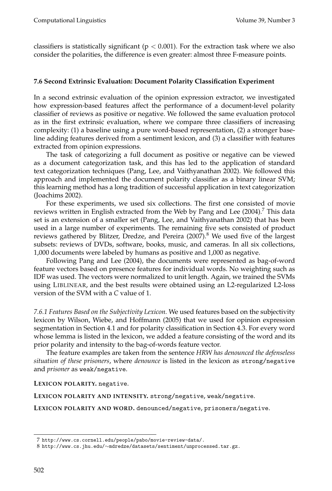classifiers is statistically significant ( $p < 0.001$ ). For the extraction task where we also consider the polarities, the difference is even greater: almost three F-measure points.

# **7.6 Second Extrinsic Evaluation: Document Polarity Classification Experiment**

In a second extrinsic evaluation of the opinion expression extractor, we investigated how expression-based features affect the performance of a document-level polarity classifier of reviews as positive or negative. We followed the same evaluation protocol as in the first extrinsic evaluation, where we compare three classifiers of increasing complexity: (1) a baseline using a pure word-based representation, (2) a stronger baseline adding features derived from a sentiment lexicon, and (3) a classifier with features extracted from opinion expressions.

The task of categorizing a full document as positive or negative can be viewed as a document categorization task, and this has led to the application of standard text categorization techniques (Pang, Lee, and Vaithyanathan 2002). We followed this approach and implemented the document polarity classifier as a binary linear SVM; this learning method has a long tradition of successful application in text categorization (Joachims 2002).

For these experiments, we used six collections. The first one consisted of movie reviews written in English extracted from the Web by Pang and Lee  $(2004)$ .<sup>7</sup> This data set is an extension of a smaller set (Pang, Lee, and Vaithyanathan 2002) that has been used in a large number of experiments. The remaining five sets consisted of product reviews gathered by Blitzer, Dredze, and Pereira (2007).<sup>8</sup> We used five of the largest subsets: reviews of DVDs, software, books, music, and cameras. In all six collections, 1,000 documents were labeled by humans as positive and 1,000 as negative.

Following Pang and Lee (2004), the documents were represented as bag-of-word feature vectors based on presence features for individual words. No weighting such as IDF was used. The vectors were normalized to unit length. Again, we trained the SVMs using LIBLINEAR, and the best results were obtained using an L2-regularized L2-loss version of the SVM with a *C* value of 1.

*7.6.1 Features Based on the Subjectivity Lexicon.* We used features based on the subjectivity lexicon by Wilson, Wiebe, and Hoffmann (2005) that we used for opinion expression segmentation in Section 4.1 and for polarity classification in Section 4.3. For every word whose lemma is listed in the lexicon, we added a feature consisting of the word and its prior polarity and intensity to the bag-of-words feature vector.

The feature examples are taken from the sentence *HRW has denounced the defenseless situation of these prisoners*, where *denounce* is listed in the lexicon as strong/negative and *prisoner* as weak/negative.

**LEXICON POLARITY.** negative.

**LEXICON POLARITY AND INTENSITY.** strong/negative, weak/negative.

**LEXICON POLARITY AND WORD.** denounced/negative, prisoners/negative.

<sup>7</sup> http://www.cs.cornell.edu/people/pabo/movie-review-data/.

<sup>8</sup> http://www.cs.jhu.edu/∼mdredze/datasets/sentiment/unprocessed.tar.gz.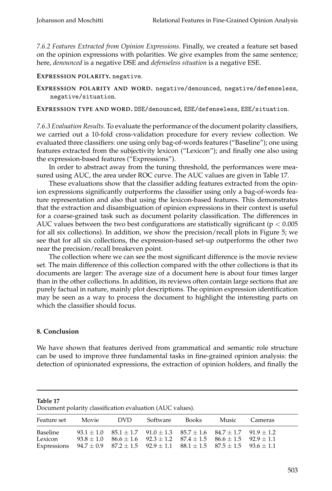*7.6.2 Features Extracted from Opinion Expressions.* Finally, we created a feature set based on the opinion expressions with polarities. We give examples from the same sentence; here, *denounced* is a negative DSE and *defenseless situation* is a negative ESE.

**EXPRESSION POLARITY.** negative.

**EXPRESSION POLARITY AND WORD.** negative/denounced, negative/defenseless, negative/situation.

**EXPRESSION TYPE AND WORD.** DSE/denounced, ESE/defenseless, ESE/situation.

*7.6.3 Evaluation Results.* To evaluate the performance of the document polarity classifiers, we carried out a 10-fold cross-validation procedure for every review collection. We evaluated three classifiers: one using only bag-of-words features ("Baseline"); one using features extracted from the subjectivity lexicon ("Lexicon"); and finally one also using the expression-based features ("Expressions").

In order to abstract away from the tuning threshold, the performances were measured using AUC, the area under ROC curve. The AUC values are given in Table 17.

These evaluations show that the classifier adding features extracted from the opinion expressions significantly outperforms the classifier using only a bag-of-words feature representation and also that using the lexicon-based features. This demonstrates that the extraction and disambiguation of opinion expressions in their context is useful for a coarse-grained task such as document polarity classification. The differences in AUC values between the two best configurations are statistically significant ( $p < 0.005$ ) for all six collections). In addition, we show the precision/recall plots in Figure 5; we see that for all six collections, the expression-based set-up outperforms the other two near the precision/recall breakeven point.

The collection where we can see the most significant difference is the movie review set. The main difference of this collection compared with the other collections is that its documents are larger: The average size of a document here is about four times larger than in the other collections. In addition, its reviews often contain large sections that are purely factual in nature, mainly plot descriptions. The opinion expression identification may be seen as a way to process the document to highlight the interesting parts on which the classifier should focus.

# **8. Conclusion**

We have shown that features derived from grammatical and semantic role structure can be used to improve three fundamental tasks in fine-grained opinion analysis: the detection of opinionated expressions, the extraction of opinion holders, and finally the

| Document polarity classification evaluation (AUC values).                                                                    |           |                                                                                                                                                                                        |          |       |       |         |  |  |
|------------------------------------------------------------------------------------------------------------------------------|-----------|----------------------------------------------------------------------------------------------------------------------------------------------------------------------------------------|----------|-------|-------|---------|--|--|
| Feature set                                                                                                                  | Movie DVD |                                                                                                                                                                                        | Software | Books | Music | Cameras |  |  |
| Baseline<br>Lexicon<br>Expressions $94.7 \pm 0.9$ $87.2 \pm 1.5$ $92.9 \pm 1.1$ $88.1 \pm 1.5$ $87.5 \pm 1.5$ $93.6 \pm 1.1$ |           | $93.1 \pm 1.0$ $85.1 \pm 1.7$ $91.0 \pm 1.3$ $85.7 \pm 1.6$ $84.7 \pm 1.7$ $91.9 \pm 1.2$<br>$93.8 \pm 1.0$ $86.6 \pm 1.6$ $92.3 \pm 1.2$ $87.4 \pm 1.5$ $86.6 \pm 1.5$ $92.9 \pm 1.1$ |          |       |       |         |  |  |

| n<br>۱ |  |
|--------|--|
|--------|--|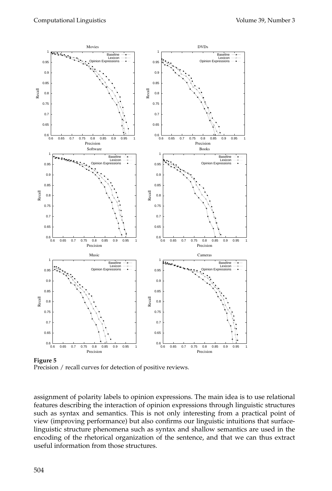

**Figure 5** Precision / recall curves for detection of positive reviews.

assignment of polarity labels to opinion expressions. The main idea is to use relational features describing the interaction of opinion expressions through linguistic structures such as syntax and semantics. This is not only interesting from a practical point of view (improving performance) but also confirms our linguistic intuitions that surfacelinguistic structure phenomena such as syntax and shallow semantics are used in the encoding of the rhetorical organization of the sentence, and that we can thus extract useful information from those structures.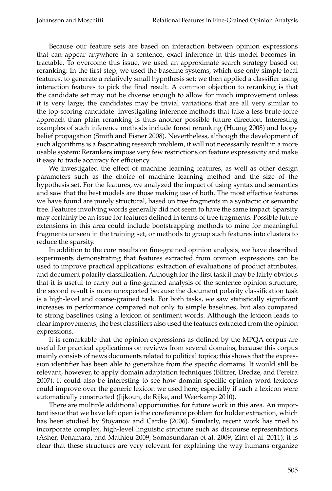Because our feature sets are based on interaction between opinion expressions that can appear anywhere in a sentence, exact inference in this model becomes intractable. To overcome this issue, we used an approximate search strategy based on reranking: In the first step, we used the baseline systems, which use only simple local features, to generate a relatively small hypothesis set; we then applied a classifier using interaction features to pick the final result. A common objection to reranking is that the candidate set may not be diverse enough to allow for much improvement unless it is very large; the candidates may be trivial variations that are all very similar to the top-scoring candidate. Investigating inference methods that take a less brute-force approach than plain reranking is thus another possible future direction. Interesting examples of such inference methods include forest reranking (Huang 2008) and loopy belief propagation (Smith and Eisner 2008). Nevertheless, although the development of such algorithms is a fascinating research problem, it will not necessarily result in a more usable system: Rerankers impose very few restrictions on feature expressivity and make it easy to trade accuracy for efficiency.

We investigated the effect of machine learning features, as well as other design parameters such as the choice of machine learning method and the size of the hypothesis set. For the features, we analyzed the impact of using syntax and semantics and saw that the best models are those making use of both. The most effective features we have found are purely structural, based on tree fragments in a syntactic or semantic tree. Features involving words generally did not seem to have the same impact. Sparsity may certainly be an issue for features defined in terms of tree fragments. Possible future extensions in this area could include bootstrapping methods to mine for meaningful fragments unseen in the training set, or methods to group such features into clusters to reduce the sparsity.

In addition to the core results on fine-grained opinion analysis, we have described experiments demonstrating that features extracted from opinion expressions can be used to improve practical applications: extraction of evaluations of product attributes, and document polarity classification. Although for the first task it may be fairly obvious that it is useful to carry out a fine-grained analysis of the sentence opinion structure, the second result is more unexpected because the document polarity classification task is a high-level and coarse-grained task. For both tasks, we saw statistically significant increases in performance compared not only to simple baselines, but also compared to strong baselines using a lexicon of sentiment words. Although the lexicon leads to clear improvements, the best classifiers also used the features extracted from the opinion expressions.

It is remarkable that the opinion expressions as defined by the MPQA corpus are useful for practical applications on reviews from several domains, because this corpus mainly consists of news documents related to political topics; this shows that the expression identifier has been able to generalize from the specific domains. It would still be relevant, however, to apply domain adaptation techniques (Blitzer, Dredze, and Pereira 2007). It could also be interesting to see how domain-specific opinion word lexicons could improve over the generic lexicon we used here; especially if such a lexicon were automatically constructed (Jijkoun, de Rijke, and Weerkamp 2010).

There are multiple additional opportunities for future work in this area. An important issue that we have left open is the coreference problem for holder extraction, which has been studied by Stoyanov and Cardie (2006). Similarly, recent work has tried to incorporate complex, high-level linguistic structure such as discourse representations (Asher, Benamara, and Mathieu 2009; Somasundaran et al. 2009; Zirn et al. 2011); it is clear that these structures are very relevant for explaining the way humans organize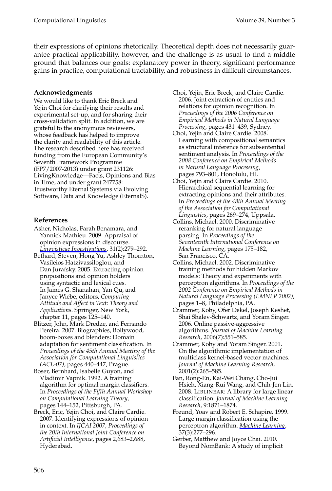their expressions of opinions rhetorically. Theoretical depth does not necessarily guarantee practical applicability, however, and the challenge is as usual to find a middle ground that balances our goals: explanatory power in theory, significant performance gains in practice, computational tractability, and robustness in difficult circumstances.

# **Acknowledgments**

We would like to thank Eric Breck and Yejin Choi for clarifying their results and experimental set-up, and for sharing their cross-validation split. In addition, we are grateful to the anonymous reviewers, whose feedback has helped to improve the clarity and readability of this article. The research described here has received funding from the European Community's Seventh Framework Programme (FP7/2007-2013) under grant 231126: LivingKnowledge—Facts, Opinions and Bias in Time, and under grant 247758: Trustworthy Eternal Systems via Evolving Software, Data and Knowledge (EternalS).

# **References**

- Asher, Nicholas, Farah Benamara, and Yannick Mathieu. 2009. Appraisal of opinion expressions in discourse. *Lingvisticae Investigations*, 31(2):279–292.
- Bethard, Steven, Hong Yu, Ashley Thornton, Vasileios Hatzivassiloglou, and Dan Jurafsky. 2005. Extracting opinion propositions and opinion holders using syntactic and lexical cues. In James G. Shanahan, Yan Qu, and Janyce Wiebe, editors, *Computing Attitude and Affect in Text: Theory and Applications*. Springer, New York, chapter 11, pages 125–140.
- Blitzer, John, Mark Dredze, and Fernando Pereira. 2007. Biographies, Bollywood, boom-boxes and blenders: Domain adaptation for sentiment classification. In *Proceedings of the 45th Annual Meeting of the Association for Computational Linguistics (ACL-07)*, pages 440–447, Prague.
- Boser, Bernhard, Isabelle Guyon, and Vladimir Vapnik. 1992. A training algorithm for optimal margin classifiers. In *Proceedings of the Fifth Annual Workshop on Computational Learning Theory*, pages 144–152, Pittsburgh, PA.
- Breck, Eric, Yejin Choi, and Claire Cardie. 2007. Identifying expressions of opinion in context. In *IJCAI 2007, Proceedings of the 20th International Joint Conference on Artificial Intelligence*, pages 2,683–2,688, Hyderabad.
- Choi, Yejin, Eric Breck, and Claire Cardie. 2006. Joint extraction of entities and relations for opinion recognition. In *Proceedings of the 2006 Conference on Empirical Methods in Natural Language Processing*, pages 431–439, Sydney.
- Choi, Yejin and Claire Cardie. 2008. Learning with compositional semantics as structural inference for subsentential sentiment analysis. In *Proceedings of the 2008 Conference on Empirical Methods in Natural Language Processing*, pages 793–801, Honolulu, HI.
- Choi, Yejin and Claire Cardie. 2010. Hierarchical sequential learning for extracting opinions and their attributes. In *Proceedings of the 48th Annual Meeting of the Association for Computational Linguistics*, pages 269–274, Uppsala.
- Collins, Michael. 2000. Discriminative reranking for natural language parsing. In *Proceedings of the Seventeenth International Conference on Machine Learning*, pages 175–182, San Francisco, CA.
- Collins, Michael. 2002. Discriminative training methods for hidden Markov models: Theory and experiments with perceptron algorithms. In *Proceedings of the 2002 Conference on Empirical Methods in Natural Language Processing (EMNLP 2002)*, pages 1–8, Philadelphia, PA.
- Crammer, Koby, Ofer Dekel, Joseph Keshet, Shai Shalev-Schwartz, and Yoram Singer. 2006. Online passive-aggressive algorithms. *Journal of Machine Learning Research*, 2006(7):551–585.
- Crammer, Koby and Yoram Singer. 2001. On the algorithmic implementation of multiclass kernel-based vector machines. *Journal of Machine Learning Research*, 2001(2):265–585.
- Fan, Rong-En, Kai-Wei Chang, Cho-Jui Hsieh, Xiang-Rui Wang, and Chih-Jen Lin. 2008. LIBLINEAR: A library for large linear classification. *Journal of Machine Learning Research*, 9:1871–1874.
- Freund, Yoav and Robert E. Schapire. 1999. Large margin classification using the perceptron algorithm. *Machine Learning*, 37(3):277–296.
- Gerber, Matthew and Joyce Chai. 2010. Beyond NomBank: A study of implicit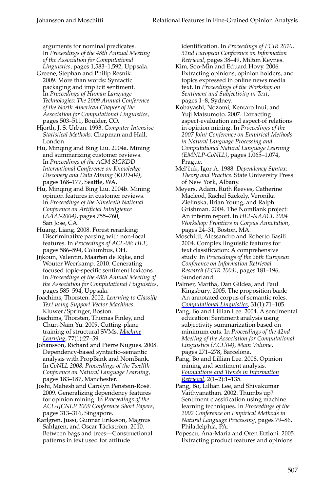arguments for nominal predicates. In *Proceedings of the 48th Annual Meeting of the Association for Computational Linguistics*, pages 1,583–1,592, Uppsala.

- Greene, Stephan and Philip Resnik. 2009. More than words: Syntactic packaging and implicit sentiment. In *Proceedings of Human Language Technologies: The 2009 Annual Conference of the North American Chapter of the Association for Computational Linguistics*, pages 503–511, Boulder, CO.
- Hjorth, J. S. Urban. 1993. *Computer Intensive Statistical Methods*. Chapman and Hall, London.
- Hu, Minqing and Bing Liu. 2004a. Mining and summarizing customer reviews. In *Proceedings of the ACM SIGKDD International Conference on Knowledge Discovery and Data Mining (KDD-04)*, pages 168–177, Seattle, WA.
- Hu, Minqing and Bing Liu. 2004b. Mining opinion features in customer reviews. In *Proceedings of the Nineteeth National Conference on Artificial Intellgience (AAAI-2004)*, pages 755–760, San Jose, CA.
- Huang, Liang. 2008. Forest reranking: Discriminative parsing with non-local features. In *Proceedings of ACL-08: HLT*, pages 586–594, Columbus, OH.
- Jijkoun, Valentin, Maarten de Rijke, and Wouter Weerkamp. 2010. Generating focused topic-specific sentiment lexicons. In *Proceedings of the 48th Annual Meeting of the Association for Computational Linguistics*, pages 585–594, Uppsala.
- Joachims, Thorsten. 2002. *Learning to Classify Text using Support Vector Machines*. Kluwer/Springer, Boston.
- Joachims, Thorsten, Thomas Finley, and Chun-Nam Yu. 2009. Cutting-plane training of structural SVMs. *Machine Learning*, 77(1):27–59.
- Johansson, Richard and Pierre Nugues. 2008. Dependency-based syntactic–semantic analysis with PropBank and NomBank. In *CoNLL 2008: Proceedings of the Twelfth Conference on Natural Language Learning*, pages 183–187, Manchester.
- Joshi, Mahesh and Carolyn Penstein-Rosé. 2009. Generalizing dependency features for opinion mining. In *Proceedings of the ACL-IJCNLP 2009 Conference Short Papers*, pages 313–316, Singapore.
- Karlgren, Jussi, Gunnar Eriksson, Magnus Sahlgren, and Oscar Täckström. 2010. Between bags and trees—Constructional patterns in text used for attitude

identification. In *Proceedings of ECIR 2010, 32nd European Conference on Information Retrieval*, pages 38–49, Milton Keynes.

- Kim, Soo-Min and Eduard Hovy. 2006. Extracting opinions, opinion holders, and topics expressed in online news media text. In *Proceedings of the Workshop on Sentiment and Subjectivity in Text*, pages 1–8, Sydney.
- Kobayashi, Nozomi, Kentaro Inui, and Yuji Matsumoto. 2007. Extracting aspect-evaluation and aspect-of relations in opinion mining. In *Proceedings of the 2007 Joint Conference on Empirical Methods in Natural Language Processing and Computational Natural Language Learning (EMNLP-CoNLL)*, pages 1,065–1,074, Prague.
- Mel'čuk, Igor A. 1988. Dependency Syntax: *Theory and Practice*. State University Press of New York, Albany.
- Meyers, Adam, Ruth Reeves, Catherine Macleod, Rachel Szekely, Veronika Zielinska, Brian Young, and Ralph Grishman. 2004. The NomBank project: An interim report. In *HLT-NAACL 2004 Workshop: Frontiers in Corpus Annotation*, pages 24–31, Boston, MA.
- Moschitti, Alessandro and Roberto Basili. 2004. Complex linguistic features for text classification: A comprehensive study. In *Proceedings of the 26th European Conference on Information Retrieval Research (ECIR 2004)*, pages 181–196, Sunderland.
- Palmer, Martha, Dan Gildea, and Paul Kingsbury. 2005. The proposition bank: An annotated corpus of semantic roles. *Computational Linguistics*, 31(1):71–105.
- Pang, Bo and Lillian Lee. 2004. A sentimental education: Sentiment analysis using subjectivity summarization based on minimum cuts. In *Proceedings of the 42nd Meeting of the Association for Computational Linguistics (ACL'04), Main Volume*, pages 271–278, Barcelona.
- Pang, Bo and Lillian Lee. 2008. Opinion mining and sentiment analysis. *Foundations and Trends in Information Retrieval*, 2(1–2):1–135.
- Pang, Bo, Lillian Lee, and Shivakumar Vaithyanathan. 2002. Thumbs up? Sentiment classification using machine learning techniques. In *Proceedings of the 2002 Conference on Empirical Methods in Natural Language Processing*, pages 79–86, Philadelphia, PA.
- Popescu, Ana-Maria and Oren Etzioni. 2005. Extracting product features and opinions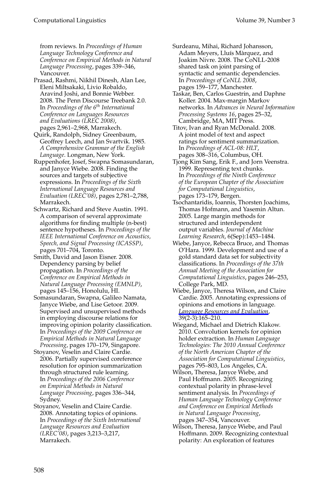from reviews. In *Proceedings of Human Language Technology Conference and Conference on Empirical Methods in Natural Language Processing*, pages 339–346, Vancouver.

- Prasad, Rashmi, Nikhil Dinesh, Alan Lee, Eleni Miltsakaki, Livio Robaldo, Aravind Joshi, and Bonnie Webber. 2008. The Penn Discourse Treebank 2.0. In *Proceedings of the 6th International Conference on Languages Resources and Evaluations (LREC 2008)*, pages 2,961–2,968, Marrakech.
- Quirk, Randolph, Sidney Greenbaum, Geoffrey Leech, and Jan Svartvik. 1985. *A Comprehensive Grammar of the English Language*. Longman, New York.
- Ruppenhofer, Josef, Swapna Somasundaran, and Janyce Wiebe. 2008. Finding the sources and targets of subjective expressions. In *Proceedings of the Sixth International Language Resources and Evaluation (LREC'08)*, pages 2,781–2,788, Marrakech.
- Schwartz, Richard and Steve Austin. 1991. A comparison of several approximate algorithms for finding multiple (n-best) sentence hypotheses. In *Proceedings of the IEEE International Conference on Acoustics, Speech, and Signal Processing (ICASSP)*, pages 701–704, Toronto.
- Smith, David and Jason Eisner. 2008. Dependency parsing by belief propagation. In *Proceedings of the Conference on Empirical Methods in Natural Language Processing (EMNLP)*, pages 145–156, Honolulu, HI.
- Somasundaran, Swapna, Galileo Namata, Janyce Wiebe, and Lise Getoor. 2009. Supervised and unsupervised methods in employing discourse relations for improving opinion polarity classification. In *Proceedings of the 2009 Conference on Empirical Methods in Natural Language Processing*, pages 170–179, Singapore.
- Stoyanov, Veselin and Claire Cardie. 2006. Partially supervised coreference resolution for opinion summarization through structured rule learning. In *Proceedings of the 2006 Conference on Empirical Methods in Natural Language Processing*, pages 336–344, Sydney.
- Stoyanov, Veselin and Claire Cardie. 2008. Annotating topics of opinions. In *Proceedings of the Sixth International Language Resources and Evaluation (LREC'08)*, pages 3,213–3,217, Marrakech.

Surdeanu, Mihai, Richard Johansson, Adam Meyers, Lluís Màrquez, and Joakim Nivre. 2008. The CoNLL-2008 shared task on joint parsing of syntactic and semantic dependencies. In *Proceedings of CoNLL 2008*, pages 159–177, Manchester.

Taskar, Ben, Carlos Guestrin, and Daphne Koller. 2004. Max-margin Markov networks. In *Advances in Neural Information Processing Systems 16*, pages 25–32, Cambridge, MA, MIT Press.

Titov, Ivan and Ryan McDonald. 2008. A joint model of text and aspect ratings for sentiment summarization. In *Proceedings of ACL-08: HLT*, pages 308–316, Columbus, OH.

- Tjong Kim Sang, Erik F., and Jorn Veenstra. 1999. Representing text chunks. In *Proceedings of the Ninth Conference of the European Chapter of the Association for Computational Linguistics*, pages 173–179, Bergen.
- Tsochantaridis, Ioannis, Thorsten Joachims, Thomas Hofmann, and Yasemin Altun. 2005. Large margin methods for structured and interdependent output variables. *Journal of Machine Learning Research*, 6(Sep):1453–1484.
- Wiebe, Janyce, Rebecca Bruce, and Thomas O'Hara. 1999. Development and use of a gold standard data set for subjectivity classifications. In *Proceedings of the 37th Annual Meeting of the Association for Computational Linguistics*, pages 246–253, College Park, MD.
- Wiebe, Janyce, Theresa Wilson, and Claire Cardie. 2005. Annotating expressions of opinions and emotions in language. *Language Resources and Evaluation*, 39(2-3):165–210.
- Wiegand, Michael and Dietrich Klakow. 2010. Convolution kernels for opinion holder extraction. In *Human Language Technologies: The 2010 Annual Conference of the North American Chapter of the Association for Computational Linguistics*, pages 795–803, Los Angeles, CA.
- Wilson, Theresa, Janyce Wiebe, and Paul Hoffmann. 2005. Recognizing contextual polarity in phrase-level sentiment analysis. In *Proceedings of Human Language Technology Conference and Conference on Empirical Methods in Natural Language Processing*, pages 347–354, Vancouver.
- Wilson, Theresa, Janyce Wiebe, and Paul Hoffmann. 2009. Recognizing contextual polarity: An exploration of features